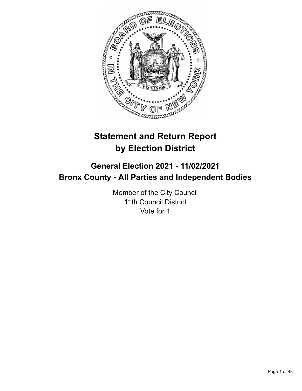

# **Statement and Return Report by Election District**

# **General Election 2021 - 11/02/2021 Bronx County - All Parties and Independent Bodies**

Member of the City Council 11th Council District Vote for 1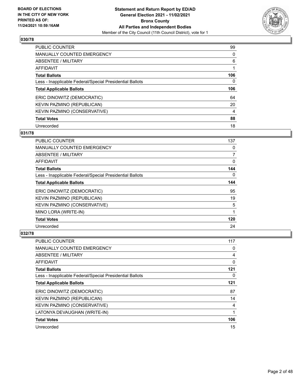

| PUBLIC COUNTER                                           | 99       |
|----------------------------------------------------------|----------|
| <b>MANUALLY COUNTED EMERGENCY</b>                        | 0        |
| ABSENTEE / MILITARY                                      | 6        |
| AFFIDAVIT                                                |          |
| <b>Total Ballots</b>                                     | 106      |
| Less - Inapplicable Federal/Special Presidential Ballots | $\Omega$ |
| <b>Total Applicable Ballots</b>                          | 106      |
| ERIC DINOWITZ (DEMOCRATIC)                               | 64       |
| KEVIN PAZMINO (REPUBLICAN)                               | 20       |
|                                                          |          |
| <b>KEVIN PAZMINO (CONSERVATIVE)</b>                      | 4        |
| <b>Total Votes</b>                                       | 88       |

### **031/78**

| PUBLIC COUNTER                                           | 137      |
|----------------------------------------------------------|----------|
| <b>MANUALLY COUNTED EMERGENCY</b>                        | 0        |
| ABSENTEE / MILITARY                                      | 7        |
| AFFIDAVIT                                                | 0        |
| <b>Total Ballots</b>                                     | 144      |
| Less - Inapplicable Federal/Special Presidential Ballots | $\Omega$ |
| <b>Total Applicable Ballots</b>                          | 144      |
| ERIC DINOWITZ (DEMOCRATIC)                               | 95       |
| KEVIN PAZMINO (REPUBLICAN)                               | 19       |
| KEVIN PAZMINO (CONSERVATIVE)                             | 5        |
| MINO LORA (WRITE-IN)                                     | 1        |
| <b>Total Votes</b>                                       | 120      |
| Unrecorded                                               | 24       |

| PUBLIC COUNTER                                           | 117 |
|----------------------------------------------------------|-----|
| <b>MANUALLY COUNTED EMERGENCY</b>                        | 0   |
| ABSENTEE / MILITARY                                      | 4   |
| AFFIDAVIT                                                | 0   |
| <b>Total Ballots</b>                                     | 121 |
| Less - Inapplicable Federal/Special Presidential Ballots | 0   |
| <b>Total Applicable Ballots</b>                          | 121 |
| ERIC DINOWITZ (DEMOCRATIC)                               | 87  |
| KEVIN PAZMINO (REPUBLICAN)                               | 14  |
| KEVIN PAZMINO (CONSERVATIVE)                             | 4   |
| LATONYA DEVAUGHAN (WRITE-IN)                             | 1   |
| <b>Total Votes</b>                                       | 106 |
| Unrecorded                                               | 15  |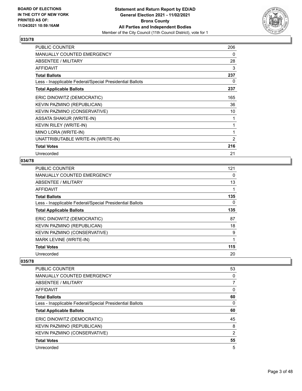

| <b>PUBLIC COUNTER</b>                                    | 206            |
|----------------------------------------------------------|----------------|
| <b>MANUALLY COUNTED EMERGENCY</b>                        | 0              |
| ABSENTEE / MILITARY                                      | 28             |
| AFFIDAVIT                                                | 3              |
| <b>Total Ballots</b>                                     | 237            |
| Less - Inapplicable Federal/Special Presidential Ballots | 0              |
| <b>Total Applicable Ballots</b>                          | 237            |
| ERIC DINOWITZ (DEMOCRATIC)                               | 165            |
| KEVIN PAZMINO (REPUBLICAN)                               | 36             |
| KEVIN PAZMINO (CONSERVATIVE)                             | 10             |
| <b>ASSATA SHAKUR (WRITE-IN)</b>                          |                |
| <b>KEVIN RILEY (WRITE-IN)</b>                            | 1              |
| MINO LORA (WRITE-IN)                                     | 1              |
| UNATTRIBUTABLE WRITE-IN (WRITE-IN)                       | $\overline{2}$ |
| <b>Total Votes</b>                                       | 216            |
| Unrecorded                                               | 21             |

## **034/78**

| PUBLIC COUNTER                                           | 121 |
|----------------------------------------------------------|-----|
| MANUALLY COUNTED EMERGENCY                               | 0   |
| ABSENTEE / MILITARY                                      | 13  |
| AFFIDAVIT                                                |     |
| <b>Total Ballots</b>                                     | 135 |
| Less - Inapplicable Federal/Special Presidential Ballots | 0   |
| <b>Total Applicable Ballots</b>                          | 135 |
| ERIC DINOWITZ (DEMOCRATIC)                               | 87  |
| KEVIN PAZMINO (REPUBLICAN)                               | 18  |
| KEVIN PAZMINO (CONSERVATIVE)                             | 9   |
| MARK LEVINE (WRITE-IN)                                   | 1   |
| <b>Total Votes</b>                                       | 115 |
| Unrecorded                                               | 20  |

| <b>PUBLIC COUNTER</b>                                    | 53             |
|----------------------------------------------------------|----------------|
| <b>MANUALLY COUNTED EMERGENCY</b>                        | 0              |
| ABSENTEE / MILITARY                                      | 7              |
| AFFIDAVIT                                                | 0              |
| <b>Total Ballots</b>                                     | 60             |
| Less - Inapplicable Federal/Special Presidential Ballots | 0              |
| <b>Total Applicable Ballots</b>                          | 60             |
| ERIC DINOWITZ (DEMOCRATIC)                               | 45             |
| KEVIN PAZMINO (REPUBLICAN)                               | 8              |
| KEVIN PAZMINO (CONSERVATIVE)                             | $\overline{2}$ |
| <b>Total Votes</b>                                       | 55             |
| Unrecorded                                               | 5              |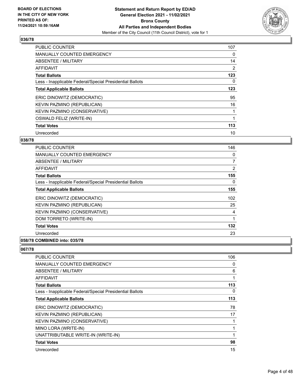

| <b>PUBLIC COUNTER</b>                                    | 107            |
|----------------------------------------------------------|----------------|
| <b>MANUALLY COUNTED EMERGENCY</b>                        | 0              |
| ABSENTEE / MILITARY                                      | 14             |
| <b>AFFIDAVIT</b>                                         | $\overline{2}$ |
| <b>Total Ballots</b>                                     | 123            |
| Less - Inapplicable Federal/Special Presidential Ballots | 0              |
| <b>Total Applicable Ballots</b>                          | 123            |
| ERIC DINOWITZ (DEMOCRATIC)                               | 95             |
| KEVIN PAZMINO (REPUBLICAN)                               | 16             |
| KEVIN PAZMINO (CONSERVATIVE)                             |                |
| OSWALD FELIZ (WRITE-IN)                                  |                |
| <b>Total Votes</b>                                       | 113            |
| Unrecorded                                               | 10             |

#### **038/78**

| <b>PUBLIC COUNTER</b>                                    | 146            |
|----------------------------------------------------------|----------------|
| MANUALLY COUNTED EMERGENCY                               | 0              |
| ABSENTEE / MILITARY                                      | $\overline{7}$ |
| AFFIDAVIT                                                | 2              |
| <b>Total Ballots</b>                                     | 155            |
| Less - Inapplicable Federal/Special Presidential Ballots | $\Omega$       |
| <b>Total Applicable Ballots</b>                          | 155            |
| ERIC DINOWITZ (DEMOCRATIC)                               | 102            |
| KEVIN PAZMINO (REPUBLICAN)                               | 25             |
| KEVIN PAZMINO (CONSERVATIVE)                             | 4              |
| DOM TORRETO (WRITE-IN)                                   |                |
| <b>Total Votes</b>                                       | 132            |
| Unrecorded                                               | 23             |
| 058/78 COMBINED into: 035/78                             |                |

| <b>PUBLIC COUNTER</b>                                    | 106 |
|----------------------------------------------------------|-----|
| <b>MANUALLY COUNTED EMERGENCY</b>                        | 0   |
| ABSENTEE / MILITARY                                      | 6   |
| <b>AFFIDAVIT</b>                                         | 1   |
| <b>Total Ballots</b>                                     | 113 |
| Less - Inapplicable Federal/Special Presidential Ballots | 0   |
| <b>Total Applicable Ballots</b>                          | 113 |
| ERIC DINOWITZ (DEMOCRATIC)                               | 78  |
| KEVIN PAZMINO (REPUBLICAN)                               | 17  |
| KEVIN PAZMINO (CONSERVATIVE)                             |     |
| MINO LORA (WRITE-IN)                                     | 1   |
| UNATTRIBUTABLE WRITE-IN (WRITE-IN)                       | 1   |
| <b>Total Votes</b>                                       | 98  |
| Unrecorded                                               | 15  |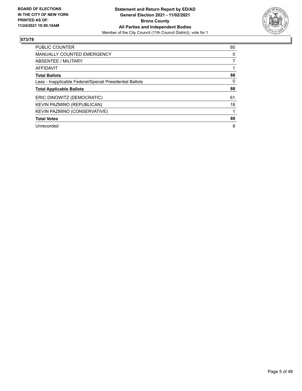

| <b>PUBLIC COUNTER</b>                                    | 80       |
|----------------------------------------------------------|----------|
| <b>MANUALLY COUNTED EMERGENCY</b>                        | 0        |
| <b>ABSENTEE / MILITARY</b>                               |          |
| <b>AFFIDAVIT</b>                                         |          |
| <b>Total Ballots</b>                                     | 88       |
| Less - Inapplicable Federal/Special Presidential Ballots | $\Omega$ |
| <b>Total Applicable Ballots</b>                          | 88       |
| ERIC DINOWITZ (DEMOCRATIC)                               | 61       |
| KEVIN PAZMINO (REPUBLICAN)                               | 18       |
| KEVIN PAZMINO (CONSERVATIVE)                             |          |
| <b>Total Votes</b>                                       | 80       |
| Unrecorded                                               | 8        |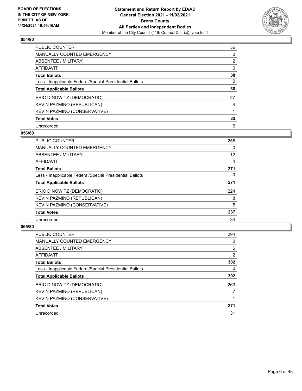

| PUBLIC COUNTER                                           | 36             |
|----------------------------------------------------------|----------------|
| <b>MANUALLY COUNTED EMERGENCY</b>                        | 0              |
| ABSENTEE / MILITARY                                      | $\overline{2}$ |
| AFFIDAVIT                                                | $\Omega$       |
| <b>Total Ballots</b>                                     | 38             |
| Less - Inapplicable Federal/Special Presidential Ballots | $\Omega$       |
| <b>Total Applicable Ballots</b>                          | 38             |
| ERIC DINOWITZ (DEMOCRATIC)                               | 27             |
| KEVIN PAZMINO (REPUBLICAN)                               | 4              |
| <b>KEVIN PAZMINO (CONSERVATIVE)</b>                      |                |
| <b>Total Votes</b>                                       | 32             |
| Unrecorded                                               | 6              |

#### **056/80**

| <b>PUBLIC COUNTER</b>                                    | 255 |
|----------------------------------------------------------|-----|
| <b>MANUALLY COUNTED EMERGENCY</b>                        | 0   |
| ABSENTEE / MILITARY                                      | 12  |
| AFFIDAVIT                                                | 4   |
| <b>Total Ballots</b>                                     | 271 |
| Less - Inapplicable Federal/Special Presidential Ballots | 0   |
| <b>Total Applicable Ballots</b>                          | 271 |
| ERIC DINOWITZ (DEMOCRATIC)                               | 224 |
| KEVIN PAZMINO (REPUBLICAN)                               | 8   |
| KEVIN PAZMINO (CONSERVATIVE)                             | 5   |
| <b>Total Votes</b>                                       | 237 |
| Unrecorded                                               | 34  |

| <b>PUBLIC COUNTER</b>                                    | 294 |
|----------------------------------------------------------|-----|
| <b>MANUALLY COUNTED EMERGENCY</b>                        | 0   |
| ABSENTEE / MILITARY                                      | 6   |
| <b>AFFIDAVIT</b>                                         | 2   |
| <b>Total Ballots</b>                                     | 302 |
| Less - Inapplicable Federal/Special Presidential Ballots | 0   |
| <b>Total Applicable Ballots</b>                          | 302 |
| ERIC DINOWITZ (DEMOCRATIC)                               | 263 |
| KEVIN PAZMINO (REPUBLICAN)                               |     |
| KEVIN PAZMINO (CONSERVATIVE)                             |     |
| <b>Total Votes</b>                                       | 271 |
| Unrecorded                                               | 31  |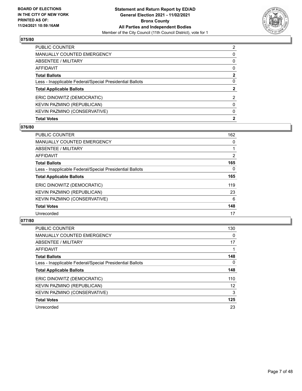

| <b>PUBLIC COUNTER</b>                                    | $\overline{2}$ |
|----------------------------------------------------------|----------------|
| <b>MANUALLY COUNTED EMERGENCY</b>                        | 0              |
| <b>ABSENTEE / MILITARY</b>                               | $\Omega$       |
| AFFIDAVIT                                                | $\Omega$       |
| <b>Total Ballots</b>                                     | $\mathbf{2}$   |
| Less - Inapplicable Federal/Special Presidential Ballots | $\Omega$       |
| <b>Total Applicable Ballots</b>                          | $\mathbf{2}$   |
| ERIC DINOWITZ (DEMOCRATIC)                               | 2              |
| KEVIN PAZMINO (REPUBLICAN)                               | 0              |
| KEVIN PAZMINO (CONSERVATIVE)                             | $\Omega$       |
| <b>Total Votes</b>                                       | $\mathbf{2}$   |

# **076/80**

| PUBLIC COUNTER                                           | 162            |
|----------------------------------------------------------|----------------|
| <b>MANUALLY COUNTED EMERGENCY</b>                        | 0              |
| ABSENTEE / MILITARY                                      |                |
| AFFIDAVIT                                                | $\overline{2}$ |
| <b>Total Ballots</b>                                     | 165            |
| Less - Inapplicable Federal/Special Presidential Ballots | $\Omega$       |
| <b>Total Applicable Ballots</b>                          | 165            |
| ERIC DINOWITZ (DEMOCRATIC)                               | 119            |
| KEVIN PAZMINO (REPUBLICAN)                               | 23             |
| KEVIN PAZMINO (CONSERVATIVE)                             | 6              |
| <b>Total Votes</b>                                       | 148            |
| Unrecorded                                               | 17             |

| <b>PUBLIC COUNTER</b>                                    | 130      |
|----------------------------------------------------------|----------|
| <b>MANUALLY COUNTED EMERGENCY</b>                        | $\Omega$ |
| ABSENTEE / MILITARY                                      | 17       |
| <b>AFFIDAVIT</b>                                         |          |
| <b>Total Ballots</b>                                     | 148      |
| Less - Inapplicable Federal/Special Presidential Ballots | $\Omega$ |
| <b>Total Applicable Ballots</b>                          | 148      |
| ERIC DINOWITZ (DEMOCRATIC)                               | 110      |
| KEVIN PAZMINO (REPUBLICAN)                               | 12       |
| KEVIN PAZMINO (CONSERVATIVE)                             | 3        |
| <b>Total Votes</b>                                       | 125      |
| Unrecorded                                               | 23       |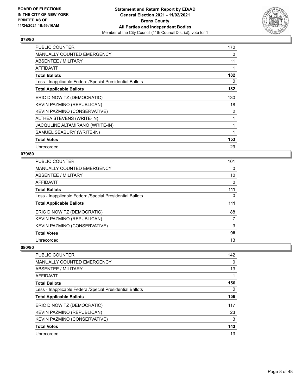

| <b>PUBLIC COUNTER</b>                                    | 170 |
|----------------------------------------------------------|-----|
| <b>MANUALLY COUNTED EMERGENCY</b>                        | 0   |
| ABSENTEE / MILITARY                                      | 11  |
| AFFIDAVIT                                                | 1   |
| <b>Total Ballots</b>                                     | 182 |
| Less - Inapplicable Federal/Special Presidential Ballots | 0   |
| <b>Total Applicable Ballots</b>                          | 182 |
| ERIC DINOWITZ (DEMOCRATIC)                               | 130 |
| KEVIN PAZMINO (REPUBLICAN)                               | 18  |
| KEVIN PAZMINO (CONSERVATIVE)                             | 2   |
| ALTHEA STEVENS (WRITE-IN)                                | 1   |
| JACQULINE ALTAMIRANO (WRITE-IN)                          | 1   |
| SAMUEL SEABURY (WRITE-IN)                                | 1   |
| <b>Total Votes</b>                                       | 153 |
| Unrecorded                                               | 29  |

# **079/80**

| <b>PUBLIC COUNTER</b>                                    | 101 |
|----------------------------------------------------------|-----|
| <b>MANUALLY COUNTED EMERGENCY</b>                        | 0   |
| ABSENTEE / MILITARY                                      | 10  |
| AFFIDAVIT                                                | 0   |
| <b>Total Ballots</b>                                     | 111 |
| Less - Inapplicable Federal/Special Presidential Ballots | 0   |
| <b>Total Applicable Ballots</b>                          | 111 |
| ERIC DINOWITZ (DEMOCRATIC)                               | 88  |
| KEVIN PAZMINO (REPUBLICAN)                               | 7   |
| KEVIN PAZMINO (CONSERVATIVE)                             | 3   |
| <b>Total Votes</b>                                       | 98  |
| Unrecorded                                               | 13  |

| <b>PUBLIC COUNTER</b>                                    | 142      |
|----------------------------------------------------------|----------|
| <b>MANUALLY COUNTED EMERGENCY</b>                        | $\Omega$ |
| <b>ABSENTEE / MILITARY</b>                               | 13       |
| AFFIDAVIT                                                |          |
| <b>Total Ballots</b>                                     | 156      |
| Less - Inapplicable Federal/Special Presidential Ballots | $\Omega$ |
| <b>Total Applicable Ballots</b>                          | 156      |
| ERIC DINOWITZ (DEMOCRATIC)                               | 117      |
| KEVIN PAZMINO (REPUBLICAN)                               | 23       |
| KEVIN PAZMINO (CONSERVATIVE)                             | 3        |
| <b>Total Votes</b>                                       | 143      |
| Unrecorded                                               | 13       |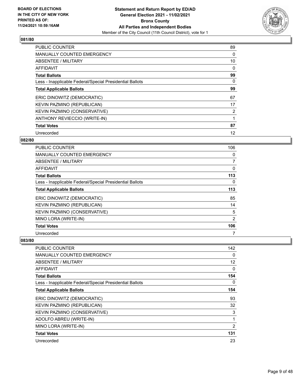

| <b>PUBLIC COUNTER</b>                                    | 89 |
|----------------------------------------------------------|----|
| <b>MANUALLY COUNTED EMERGENCY</b>                        | 0  |
| ABSENTEE / MILITARY                                      | 10 |
| <b>AFFIDAVIT</b>                                         | 0  |
| <b>Total Ballots</b>                                     | 99 |
| Less - Inapplicable Federal/Special Presidential Ballots | 0  |
| <b>Total Applicable Ballots</b>                          | 99 |
| ERIC DINOWITZ (DEMOCRATIC)                               | 67 |
| KEVIN PAZMINO (REPUBLICAN)                               | 17 |
| KEVIN PAZMINO (CONSERVATIVE)                             | 2  |
| ANTHONY REVIECCIO (WRITE-IN)                             |    |
| <b>Total Votes</b>                                       | 87 |
| Unrecorded                                               | 12 |

## **082/80**

| <b>PUBLIC COUNTER</b>                                    | 106            |
|----------------------------------------------------------|----------------|
| MANUALLY COUNTED EMERGENCY                               | 0              |
| ABSENTEE / MILITARY                                      | $\overline{7}$ |
| <b>AFFIDAVIT</b>                                         | 0              |
| <b>Total Ballots</b>                                     | 113            |
| Less - Inapplicable Federal/Special Presidential Ballots | 0              |
| <b>Total Applicable Ballots</b>                          | 113            |
| ERIC DINOWITZ (DEMOCRATIC)                               | 85             |
| KEVIN PAZMINO (REPUBLICAN)                               | 14             |
| KEVIN PAZMINO (CONSERVATIVE)                             | 5              |
| MINO LORA (WRITE-IN)                                     | 2              |
| <b>Total Votes</b>                                       | 106            |
| Unrecorded                                               | 7              |

| <b>PUBLIC COUNTER</b>                                    | 142            |
|----------------------------------------------------------|----------------|
| <b>MANUALLY COUNTED EMERGENCY</b>                        | 0              |
| ABSENTEE / MILITARY                                      | 12             |
| AFFIDAVIT                                                | 0              |
| <b>Total Ballots</b>                                     | 154            |
| Less - Inapplicable Federal/Special Presidential Ballots | $\Omega$       |
| <b>Total Applicable Ballots</b>                          | 154            |
| ERIC DINOWITZ (DEMOCRATIC)                               | 93             |
| KEVIN PAZMINO (REPUBLICAN)                               | 32             |
| KEVIN PAZMINO (CONSERVATIVE)                             | 3              |
| ADOLFO ABREU (WRITE-IN)                                  |                |
| MINO LORA (WRITE-IN)                                     | $\overline{2}$ |
| <b>Total Votes</b>                                       | 131            |
| Unrecorded                                               | 23             |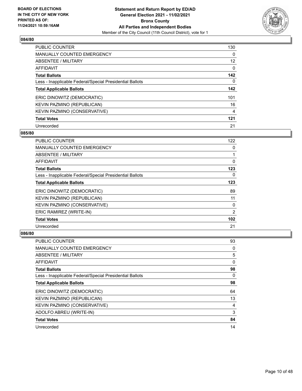

| <b>PUBLIC COUNTER</b>                                    | 130      |
|----------------------------------------------------------|----------|
| <b>MANUALLY COUNTED EMERGENCY</b>                        | $\Omega$ |
| ABSENTEE / MILITARY                                      | 12       |
| <b>AFFIDAVIT</b>                                         | $\Omega$ |
| <b>Total Ballots</b>                                     | 142      |
| Less - Inapplicable Federal/Special Presidential Ballots | 0        |
| <b>Total Applicable Ballots</b>                          | 142      |
| ERIC DINOWITZ (DEMOCRATIC)                               | 101      |
| KEVIN PAZMINO (REPUBLICAN)                               | 16       |
| KEVIN PAZMINO (CONSERVATIVE)                             | 4        |
| <b>Total Votes</b>                                       | 121      |
| Unrecorded                                               | 21       |

#### **085/80**

| <b>PUBLIC COUNTER</b>                                    | 122            |
|----------------------------------------------------------|----------------|
| MANUALLY COUNTED EMERGENCY                               | 0              |
| ABSENTEE / MILITARY                                      |                |
| AFFIDAVIT                                                | 0              |
| <b>Total Ballots</b>                                     | 123            |
| Less - Inapplicable Federal/Special Presidential Ballots | 0              |
| <b>Total Applicable Ballots</b>                          | 123            |
| ERIC DINOWITZ (DEMOCRATIC)                               | 89             |
| KEVIN PAZMINO (REPUBLICAN)                               | 11             |
| KEVIN PAZMINO (CONSERVATIVE)                             | 0              |
| ERIC RAMIREZ (WRITE-IN)                                  | $\overline{2}$ |
| <b>Total Votes</b>                                       | 102            |
| Unrecorded                                               | 21             |

| <b>PUBLIC COUNTER</b>                                    | 93       |
|----------------------------------------------------------|----------|
| MANUALLY COUNTED EMERGENCY                               | 0        |
| ABSENTEE / MILITARY                                      | 5        |
| AFFIDAVIT                                                | 0        |
| <b>Total Ballots</b>                                     | 98       |
| Less - Inapplicable Federal/Special Presidential Ballots | $\Omega$ |
| <b>Total Applicable Ballots</b>                          | 98       |
| ERIC DINOWITZ (DEMOCRATIC)                               | 64       |
| KEVIN PAZMINO (REPUBLICAN)                               | 13       |
| KEVIN PAZMINO (CONSERVATIVE)                             | 4        |
| ADOLFO ABREU (WRITE-IN)                                  | 3        |
| <b>Total Votes</b>                                       | 84       |
| Unrecorded                                               | 14       |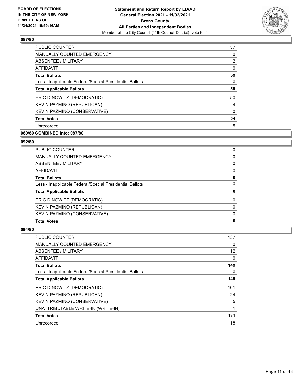

| <b>PUBLIC COUNTER</b>                                    | 57             |
|----------------------------------------------------------|----------------|
| <b>MANUALLY COUNTED EMERGENCY</b>                        | 0              |
| ABSENTEE / MILITARY                                      | $\overline{2}$ |
| AFFIDAVIT                                                | 0              |
| <b>Total Ballots</b>                                     | 59             |
| Less - Inapplicable Federal/Special Presidential Ballots | 0              |
| <b>Total Applicable Ballots</b>                          | 59             |
| ERIC DINOWITZ (DEMOCRATIC)                               | 50             |
| KEVIN PAZMINO (REPUBLICAN)                               | $\overline{4}$ |
| KEVIN PAZMINO (CONSERVATIVE)                             | $\Omega$       |
| <b>Total Votes</b>                                       | 54             |
| Unrecorded                                               | 5              |
|                                                          |                |

# **089/80 COMBINED into: 087/80**

# **092/80**

| <b>Total Votes</b>                                       | 0        |
|----------------------------------------------------------|----------|
| KEVIN PAZMINO (CONSERVATIVE)                             | $\Omega$ |
| KEVIN PAZMINO (REPUBLICAN)                               | 0        |
| ERIC DINOWITZ (DEMOCRATIC)                               | $\Omega$ |
| <b>Total Applicable Ballots</b>                          | 0        |
| Less - Inapplicable Federal/Special Presidential Ballots | 0        |
| <b>Total Ballots</b>                                     | 0        |
| AFFIDAVIT                                                | 0        |
| ABSENTEE / MILITARY                                      | $\Omega$ |
| MANUALLY COUNTED EMERGENCY                               | 0        |
| <b>PUBLIC COUNTER</b>                                    | 0        |

| <b>PUBLIC COUNTER</b>                                    | 137      |
|----------------------------------------------------------|----------|
| <b>MANUALLY COUNTED EMERGENCY</b>                        | 0        |
| <b>ABSENTEE / MILITARY</b>                               | 12       |
| <b>AFFIDAVIT</b>                                         | 0        |
| <b>Total Ballots</b>                                     | 149      |
| Less - Inapplicable Federal/Special Presidential Ballots | $\Omega$ |
| <b>Total Applicable Ballots</b>                          | 149      |
| ERIC DINOWITZ (DEMOCRATIC)                               | 101      |
| KEVIN PAZMINO (REPUBLICAN)                               | 24       |
| KEVIN PAZMINO (CONSERVATIVE)                             | 5        |
| UNATTRIBUTABLE WRITE-IN (WRITE-IN)                       |          |
| <b>Total Votes</b>                                       | 131      |
| Unrecorded                                               | 18       |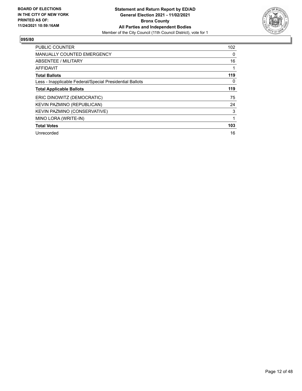

| <b>PUBLIC COUNTER</b>                                    | 102      |
|----------------------------------------------------------|----------|
| <b>MANUALLY COUNTED EMERGENCY</b>                        | 0        |
| <b>ABSENTEE / MILITARY</b>                               | 16       |
| <b>AFFIDAVIT</b>                                         | 1        |
| <b>Total Ballots</b>                                     | 119      |
| Less - Inapplicable Federal/Special Presidential Ballots | $\Omega$ |
| <b>Total Applicable Ballots</b>                          | 119      |
| ERIC DINOWITZ (DEMOCRATIC)                               | 75       |
| KEVIN PAZMINO (REPUBLICAN)                               | 24       |
| KEVIN PAZMINO (CONSERVATIVE)                             | 3        |
| MINO LORA (WRITE-IN)                                     | 1        |
| <b>Total Votes</b>                                       | 103      |
| Unrecorded                                               | 16       |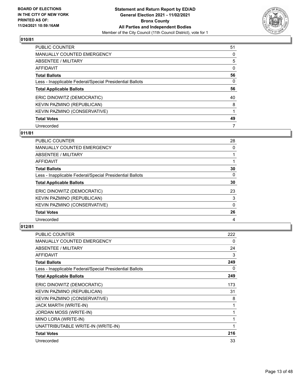

| <b>PUBLIC COUNTER</b>                                    | 51       |
|----------------------------------------------------------|----------|
| <b>MANUALLY COUNTED EMERGENCY</b>                        | $\Omega$ |
| ABSENTEE / MILITARY                                      | 5        |
| AFFIDAVIT                                                | $\Omega$ |
| <b>Total Ballots</b>                                     | 56       |
| Less - Inapplicable Federal/Special Presidential Ballots | 0        |
| <b>Total Applicable Ballots</b>                          | 56       |
| ERIC DINOWITZ (DEMOCRATIC)                               | 40       |
| KEVIN PAZMINO (REPUBLICAN)                               | 8        |
| KEVIN PAZMINO (CONSERVATIVE)                             |          |
| <b>Total Votes</b>                                       | 49       |
| Unrecorded                                               | 7        |

# **011/81**

| <b>PUBLIC COUNTER</b>                                    | 28       |
|----------------------------------------------------------|----------|
| <b>MANUALLY COUNTED EMERGENCY</b>                        | 0        |
| ABSENTEE / MILITARY                                      |          |
| <b>AFFIDAVIT</b>                                         |          |
| <b>Total Ballots</b>                                     | 30       |
| Less - Inapplicable Federal/Special Presidential Ballots | $\Omega$ |
| <b>Total Applicable Ballots</b>                          | 30       |
| ERIC DINOWITZ (DEMOCRATIC)                               | 23       |
| KEVIN PAZMINO (REPUBLICAN)                               | 3        |
| KEVIN PAZMINO (CONSERVATIVE)                             | $\Omega$ |
| <b>Total Votes</b>                                       | 26       |
| Unrecorded                                               | 4        |

| PUBLIC COUNTER                                           | 222 |
|----------------------------------------------------------|-----|
| MANUALLY COUNTED EMERGENCY                               | 0   |
| ABSENTEE / MILITARY                                      | 24  |
| <b>AFFIDAVIT</b>                                         | 3   |
| <b>Total Ballots</b>                                     | 249 |
| Less - Inapplicable Federal/Special Presidential Ballots | 0   |
| <b>Total Applicable Ballots</b>                          | 249 |
| ERIC DINOWITZ (DEMOCRATIC)                               | 173 |
| KEVIN PAZMINO (REPUBLICAN)                               | 31  |
| KEVIN PAZMINO (CONSERVATIVE)                             | 8   |
| <b>JACK MARTH (WRITE-IN)</b>                             | 1   |
| JORDAN MOSS (WRITE-IN)                                   | 1   |
| MINO LORA (WRITE-IN)                                     | 1   |
| UNATTRIBUTABLE WRITE-IN (WRITE-IN)                       | 1   |
| <b>Total Votes</b>                                       | 216 |
| Unrecorded                                               | 33  |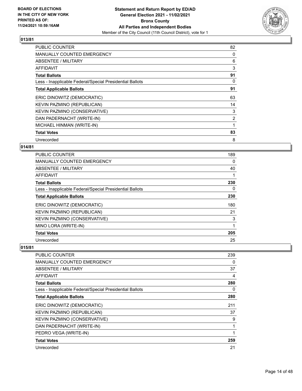

| <b>PUBLIC COUNTER</b>                                    | 82             |
|----------------------------------------------------------|----------------|
| <b>MANUALLY COUNTED EMERGENCY</b>                        | 0              |
| <b>ABSENTEE / MILITARY</b>                               | 6              |
| <b>AFFIDAVIT</b>                                         | 3              |
| <b>Total Ballots</b>                                     | 91             |
| Less - Inapplicable Federal/Special Presidential Ballots | $\Omega$       |
| <b>Total Applicable Ballots</b>                          | 91             |
| ERIC DINOWITZ (DEMOCRATIC)                               | 63             |
| KEVIN PAZMINO (REPUBLICAN)                               | 14             |
| KEVIN PAZMINO (CONSERVATIVE)                             | 3              |
| DAN PADERNACHT (WRITE-IN)                                | $\overline{2}$ |
| MICHAEL HINMAN (WRITE-IN)                                |                |
| <b>Total Votes</b>                                       | 83             |
| Unrecorded                                               | 8              |

# **014/81**

| PUBLIC COUNTER                                           | 189      |
|----------------------------------------------------------|----------|
| MANUALLY COUNTED EMERGENCY                               | $\Omega$ |
| ABSENTEE / MILITARY                                      | 40       |
| AFFIDAVIT                                                |          |
| <b>Total Ballots</b>                                     | 230      |
| Less - Inapplicable Federal/Special Presidential Ballots | 0        |
| <b>Total Applicable Ballots</b>                          | 230      |
| ERIC DINOWITZ (DEMOCRATIC)                               | 180      |
| KEVIN PAZMINO (REPUBLICAN)                               | 21       |
| KEVIN PAZMINO (CONSERVATIVE)                             | 3        |
| MINO LORA (WRITE-IN)                                     | 1        |
| <b>Total Votes</b>                                       | 205      |
| Unrecorded                                               | 25       |

| <b>PUBLIC COUNTER</b>                                    | 239 |
|----------------------------------------------------------|-----|
| <b>MANUALLY COUNTED EMERGENCY</b>                        | 0   |
| ABSENTEE / MILITARY                                      | 37  |
| AFFIDAVIT                                                | 4   |
| <b>Total Ballots</b>                                     | 280 |
| Less - Inapplicable Federal/Special Presidential Ballots | 0   |
| <b>Total Applicable Ballots</b>                          | 280 |
| ERIC DINOWITZ (DEMOCRATIC)                               | 211 |
| KEVIN PAZMINO (REPUBLICAN)                               | 37  |
| KEVIN PAZMINO (CONSERVATIVE)                             | 9   |
| DAN PADERNACHT (WRITE-IN)                                | 1   |
| PEDRO VEGA (WRITE-IN)                                    |     |
| <b>Total Votes</b>                                       | 259 |
| Unrecorded                                               | 21  |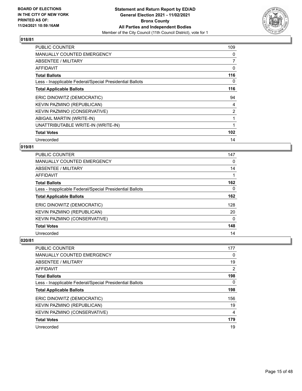

| <b>PUBLIC COUNTER</b>                                    | 109            |
|----------------------------------------------------------|----------------|
| <b>MANUALLY COUNTED EMERGENCY</b>                        | 0              |
| ABSENTEE / MILITARY                                      | 7              |
| <b>AFFIDAVIT</b>                                         | 0              |
| <b>Total Ballots</b>                                     | 116            |
| Less - Inapplicable Federal/Special Presidential Ballots | 0              |
| <b>Total Applicable Ballots</b>                          | 116            |
| ERIC DINOWITZ (DEMOCRATIC)                               | 94             |
| KEVIN PAZMINO (REPUBLICAN)                               | 4              |
| KEVIN PAZMINO (CONSERVATIVE)                             | $\overline{2}$ |
| ABIGAIL MARTIN (WRITE-IN)                                | 1              |
| UNATTRIBUTABLE WRITE-IN (WRITE-IN)                       |                |
| <b>Total Votes</b>                                       | 102            |
| Unrecorded                                               | 14             |

# **019/81**

| <b>PUBLIC COUNTER</b>                                    | 147      |
|----------------------------------------------------------|----------|
| MANUALLY COUNTED EMERGENCY                               | $\Omega$ |
| ABSENTEE / MILITARY                                      | 14       |
| AFFIDAVIT                                                |          |
| <b>Total Ballots</b>                                     | 162      |
| Less - Inapplicable Federal/Special Presidential Ballots | $\Omega$ |
| <b>Total Applicable Ballots</b>                          | 162      |
| ERIC DINOWITZ (DEMOCRATIC)                               | 128      |
| KEVIN PAZMINO (REPUBLICAN)                               | 20       |
| KEVIN PAZMINO (CONSERVATIVE)                             | $\Omega$ |
| <b>Total Votes</b>                                       | 148      |
| Unrecorded                                               | 14       |

| <b>PUBLIC COUNTER</b>                                    | 177 |
|----------------------------------------------------------|-----|
| <b>MANUALLY COUNTED EMERGENCY</b>                        | 0   |
| ABSENTEE / MILITARY                                      | 19  |
| AFFIDAVIT                                                | 2   |
| <b>Total Ballots</b>                                     | 198 |
| Less - Inapplicable Federal/Special Presidential Ballots | 0   |
| <b>Total Applicable Ballots</b>                          | 198 |
| ERIC DINOWITZ (DEMOCRATIC)                               | 156 |
| KEVIN PAZMINO (REPUBLICAN)                               | 19  |
| KEVIN PAZMINO (CONSERVATIVE)                             | 4   |
| <b>Total Votes</b>                                       | 179 |
| Unrecorded                                               | 19  |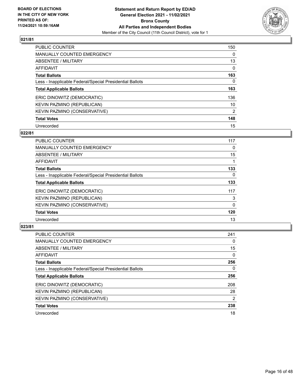

| <b>PUBLIC COUNTER</b>                                    | 150      |
|----------------------------------------------------------|----------|
| <b>MANUALLY COUNTED EMERGENCY</b>                        | 0        |
| ABSENTEE / MILITARY                                      | 13       |
| AFFIDAVIT                                                | $\Omega$ |
| <b>Total Ballots</b>                                     | 163      |
| Less - Inapplicable Federal/Special Presidential Ballots | $\Omega$ |
| <b>Total Applicable Ballots</b>                          | 163      |
| ERIC DINOWITZ (DEMOCRATIC)                               | 136      |
| KEVIN PAZMINO (REPUBLICAN)                               | 10       |
| KEVIN PAZMINO (CONSERVATIVE)                             | 2        |
| <b>Total Votes</b>                                       | 148      |
| Unrecorded                                               | 15       |

#### **022/81**

| PUBLIC COUNTER                                           | 117          |
|----------------------------------------------------------|--------------|
| <b>MANUALLY COUNTED EMERGENCY</b>                        | 0            |
| ABSENTEE / MILITARY                                      | 15           |
| <b>AFFIDAVIT</b>                                         |              |
| <b>Total Ballots</b>                                     | 133          |
| Less - Inapplicable Federal/Special Presidential Ballots | $\Omega$     |
| <b>Total Applicable Ballots</b>                          | 133          |
| ERIC DINOWITZ (DEMOCRATIC)                               | 117          |
| KEVIN PAZMINO (REPUBLICAN)                               | 3            |
| KEVIN PAZMINO (CONSERVATIVE)                             | $\mathbf{0}$ |
| <b>Total Votes</b>                                       | 120          |
| Unrecorded                                               | 13           |

| <b>PUBLIC COUNTER</b>                                    | 241      |
|----------------------------------------------------------|----------|
| <b>MANUALLY COUNTED EMERGENCY</b>                        | 0        |
| ABSENTEE / MILITARY                                      | 15       |
| <b>AFFIDAVIT</b>                                         | $\Omega$ |
| <b>Total Ballots</b>                                     | 256      |
| Less - Inapplicable Federal/Special Presidential Ballots | 0        |
| <b>Total Applicable Ballots</b>                          | 256      |
| ERIC DINOWITZ (DEMOCRATIC)                               | 208      |
| KEVIN PAZMINO (REPUBLICAN)                               | 28       |
| KEVIN PAZMINO (CONSERVATIVE)                             | 2        |
| <b>Total Votes</b>                                       | 238      |
| Unrecorded                                               | 18       |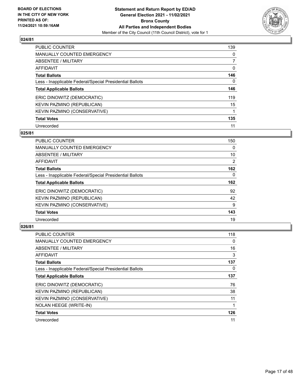

| <b>PUBLIC COUNTER</b>                                    | 139      |
|----------------------------------------------------------|----------|
| MANUALLY COUNTED EMERGENCY                               | $\Omega$ |
| ABSENTEE / MILITARY                                      |          |
| AFFIDAVIT                                                | 0        |
| <b>Total Ballots</b>                                     | 146      |
| Less - Inapplicable Federal/Special Presidential Ballots | 0        |
| <b>Total Applicable Ballots</b>                          | 146      |
| ERIC DINOWITZ (DEMOCRATIC)                               | 119      |
| KEVIN PAZMINO (REPUBLICAN)                               | 15       |
| KEVIN PAZMINO (CONSERVATIVE)                             |          |
| <b>Total Votes</b>                                       | 135      |
| Unrecorded                                               | 11       |

#### **025/81**

| <b>PUBLIC COUNTER</b>                                    | 150            |
|----------------------------------------------------------|----------------|
| <b>MANUALLY COUNTED EMERGENCY</b>                        | $\Omega$       |
| ABSENTEE / MILITARY                                      | 10             |
| <b>AFFIDAVIT</b>                                         | $\overline{2}$ |
| <b>Total Ballots</b>                                     | 162            |
| Less - Inapplicable Federal/Special Presidential Ballots | 0              |
| <b>Total Applicable Ballots</b>                          | 162            |
| ERIC DINOWITZ (DEMOCRATIC)                               | 92             |
| KEVIN PAZMINO (REPUBLICAN)                               | 42             |
| KEVIN PAZMINO (CONSERVATIVE)                             | 9              |
| <b>Total Votes</b>                                       | 143            |
| Unrecorded                                               | 19             |

| PUBLIC COUNTER                                           | 118 |
|----------------------------------------------------------|-----|
| <b>MANUALLY COUNTED EMERGENCY</b>                        | 0   |
| ABSENTEE / MILITARY                                      | 16  |
| AFFIDAVIT                                                | 3   |
| <b>Total Ballots</b>                                     | 137 |
| Less - Inapplicable Federal/Special Presidential Ballots | 0   |
| <b>Total Applicable Ballots</b>                          | 137 |
| ERIC DINOWITZ (DEMOCRATIC)                               | 76  |
| KEVIN PAZMINO (REPUBLICAN)                               | 38  |
| KEVIN PAZMINO (CONSERVATIVE)                             | 11  |
| NOLAN HEEGE (WRITE-IN)                                   |     |
| <b>Total Votes</b>                                       | 126 |
| Unrecorded                                               | 11  |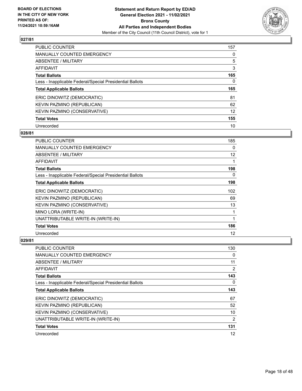

| <b>PUBLIC COUNTER</b>                                    | 157      |
|----------------------------------------------------------|----------|
| <b>MANUALLY COUNTED EMERGENCY</b>                        | 0        |
| ABSENTEE / MILITARY                                      | 5        |
| AFFIDAVIT                                                | 3        |
| <b>Total Ballots</b>                                     | 165      |
| Less - Inapplicable Federal/Special Presidential Ballots | $\Omega$ |
| <b>Total Applicable Ballots</b>                          | 165      |
|                                                          |          |
| ERIC DINOWITZ (DEMOCRATIC)                               | 81       |
| KEVIN PAZMINO (REPUBLICAN)                               | 62       |
| KEVIN PAZMINO (CONSERVATIVE)                             | 12       |
| <b>Total Votes</b>                                       | 155      |

#### **028/81**

| <b>PUBLIC COUNTER</b>                                    | 185 |
|----------------------------------------------------------|-----|
| <b>MANUALLY COUNTED EMERGENCY</b>                        | 0   |
| ABSENTEE / MILITARY                                      | 12  |
| AFFIDAVIT                                                | 1   |
| <b>Total Ballots</b>                                     | 198 |
| Less - Inapplicable Federal/Special Presidential Ballots | 0   |
| <b>Total Applicable Ballots</b>                          | 198 |
| ERIC DINOWITZ (DEMOCRATIC)                               | 102 |
| KEVIN PAZMINO (REPUBLICAN)                               | 69  |
| KEVIN PAZMINO (CONSERVATIVE)                             | 13  |
| MINO LORA (WRITE-IN)                                     | 1   |
| UNATTRIBUTABLE WRITE-IN (WRITE-IN)                       | 1   |
| <b>Total Votes</b>                                       | 186 |
| Unrecorded                                               | 12  |

| PUBLIC COUNTER                                           | 130            |
|----------------------------------------------------------|----------------|
| <b>MANUALLY COUNTED EMERGENCY</b>                        | 0              |
| ABSENTEE / MILITARY                                      | 11             |
| AFFIDAVIT                                                | 2              |
| <b>Total Ballots</b>                                     | 143            |
| Less - Inapplicable Federal/Special Presidential Ballots | $\Omega$       |
| <b>Total Applicable Ballots</b>                          | 143            |
| ERIC DINOWITZ (DEMOCRATIC)                               | 67             |
| KEVIN PAZMINO (REPUBLICAN)                               | 52             |
| KEVIN PAZMINO (CONSERVATIVE)                             | 10             |
| UNATTRIBUTABLE WRITE-IN (WRITE-IN)                       | $\overline{2}$ |
| <b>Total Votes</b>                                       | 131            |
| Unrecorded                                               | 12             |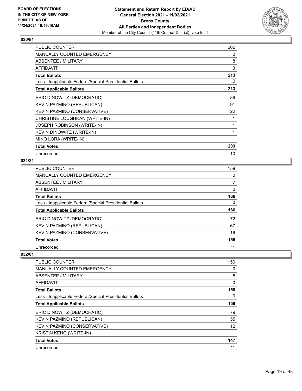

| <b>PUBLIC COUNTER</b>                                    | 202 |
|----------------------------------------------------------|-----|
| <b>MANUALLY COUNTED EMERGENCY</b>                        | 0   |
| ABSENTEE / MILITARY                                      | 8   |
| AFFIDAVIT                                                | 3   |
| <b>Total Ballots</b>                                     | 213 |
| Less - Inapplicable Federal/Special Presidential Ballots | 0   |
| <b>Total Applicable Ballots</b>                          | 213 |
| ERIC DINOWITZ (DEMOCRATIC)                               | 86  |
| KEVIN PAZMINO (REPUBLICAN)                               | 91  |
| KEVIN PAZMINO (CONSERVATIVE)                             | 22  |
| CHRISTINE LOUGHRAN (WRITE-IN)                            | 1   |
| JOSEPH ROBINSON (WRITE-IN)                               | 1   |
| KEVIN DINOWITZ (WRITE-IN)                                |     |
| MINO LORA (WRITE-IN)                                     |     |
| <b>Total Votes</b>                                       | 203 |
| Unrecorded                                               | 10  |

## **031/81**

| PUBLIC COUNTER                                           | 159 |
|----------------------------------------------------------|-----|
| MANUALLY COUNTED EMERGENCY                               | 0   |
| ABSENTEE / MILITARY                                      | 7   |
| AFFIDAVIT                                                | 0   |
| <b>Total Ballots</b>                                     | 166 |
| Less - Inapplicable Federal/Special Presidential Ballots | 0   |
|                                                          |     |
| <b>Total Applicable Ballots</b>                          | 166 |
| ERIC DINOWITZ (DEMOCRATIC)                               | 72  |
| KEVIN PAZMINO (REPUBLICAN)                               | 67  |
| KEVIN PAZMINO (CONSERVATIVE)                             | 16  |
| <b>Total Votes</b>                                       | 155 |

| <b>PUBLIC COUNTER</b>                                    | 150      |
|----------------------------------------------------------|----------|
| <b>MANUALLY COUNTED EMERGENCY</b>                        | 0        |
| ABSENTEE / MILITARY                                      | 8        |
| <b>AFFIDAVIT</b>                                         | 0        |
| <b>Total Ballots</b>                                     | 158      |
| Less - Inapplicable Federal/Special Presidential Ballots | $\Omega$ |
| <b>Total Applicable Ballots</b>                          | 158      |
| ERIC DINOWITZ (DEMOCRATIC)                               | 79       |
| KEVIN PAZMINO (REPUBLICAN)                               | 55       |
| KEVIN PAZMINO (CONSERVATIVE)                             | 12       |
| <b>KRISTIN KEHO (WRITE-IN)</b>                           | 1        |
| <b>Total Votes</b>                                       | 147      |
| Unrecorded                                               | 11       |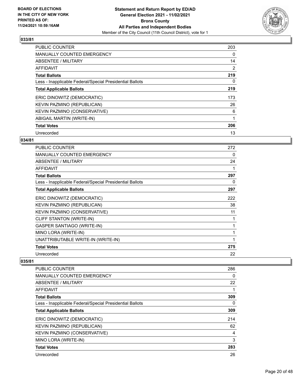

| <b>PUBLIC COUNTER</b>                                    | 203            |
|----------------------------------------------------------|----------------|
| <b>MANUALLY COUNTED EMERGENCY</b>                        | 0              |
| ABSENTEE / MILITARY                                      | 14             |
| <b>AFFIDAVIT</b>                                         | $\overline{2}$ |
| <b>Total Ballots</b>                                     | 219            |
| Less - Inapplicable Federal/Special Presidential Ballots | 0              |
| <b>Total Applicable Ballots</b>                          | 219            |
| ERIC DINOWITZ (DEMOCRATIC)                               | 173            |
| KEVIN PAZMINO (REPUBLICAN)                               | 26             |
| <b>KEVIN PAZMINO (CONSERVATIVE)</b>                      | 6              |
| ABIGAIL MARTIN (WRITE-IN)                                |                |
| <b>Total Votes</b>                                       | 206            |
| Unrecorded                                               | 13             |

# **034/81**

| PUBLIC COUNTER                                           | 272 |
|----------------------------------------------------------|-----|
| <b>MANUALLY COUNTED EMERGENCY</b>                        | 0   |
| ABSENTEE / MILITARY                                      | 24  |
| <b>AFFIDAVIT</b>                                         | 1   |
| <b>Total Ballots</b>                                     | 297 |
| Less - Inapplicable Federal/Special Presidential Ballots | 0   |
| <b>Total Applicable Ballots</b>                          | 297 |
| ERIC DINOWITZ (DEMOCRATIC)                               | 222 |
| KEVIN PAZMINO (REPUBLICAN)                               | 38  |
| KEVIN PAZMINO (CONSERVATIVE)                             | 11  |
| CLIFF STANTON (WRITE-IN)                                 |     |
| GASPER SANTIAGO (WRITE-IN)                               | 1   |
| MINO LORA (WRITE-IN)                                     |     |
| UNATTRIBUTABLE WRITE-IN (WRITE-IN)                       |     |
| <b>Total Votes</b>                                       | 275 |
| Unrecorded                                               | 22  |

| <b>PUBLIC COUNTER</b>                                    | 286 |
|----------------------------------------------------------|-----|
| <b>MANUALLY COUNTED EMERGENCY</b>                        | 0   |
| ABSENTEE / MILITARY                                      | 22  |
| AFFIDAVIT                                                |     |
| <b>Total Ballots</b>                                     | 309 |
| Less - Inapplicable Federal/Special Presidential Ballots | 0   |
| <b>Total Applicable Ballots</b>                          | 309 |
| ERIC DINOWITZ (DEMOCRATIC)                               | 214 |
| KEVIN PAZMINO (REPUBLICAN)                               | 62  |
| KEVIN PAZMINO (CONSERVATIVE)                             | 4   |
| MINO LORA (WRITE-IN)                                     | 3   |
| <b>Total Votes</b>                                       | 283 |
| Unrecorded                                               | 26  |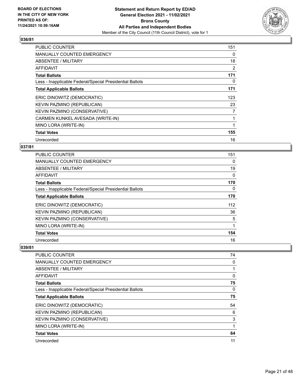

| <b>PUBLIC COUNTER</b>                                    | 151 |
|----------------------------------------------------------|-----|
| <b>MANUALLY COUNTED EMERGENCY</b>                        | 0   |
| ABSENTEE / MILITARY                                      | 18  |
| AFFIDAVIT                                                | 2   |
| <b>Total Ballots</b>                                     | 171 |
| Less - Inapplicable Federal/Special Presidential Ballots | 0   |
| <b>Total Applicable Ballots</b>                          | 171 |
| ERIC DINOWITZ (DEMOCRATIC)                               | 123 |
| KEVIN PAZMINO (REPUBLICAN)                               | 23  |
| KEVIN PAZMINO (CONSERVATIVE)                             | 7   |
| CARMEN KUNKEL AVESADA (WRITE-IN)                         | 1   |
| MINO LORA (WRITE-IN)                                     |     |
| <b>Total Votes</b>                                       | 155 |
| Unrecorded                                               | 16  |

# **037/81**

| PUBLIC COUNTER                                           | 151 |
|----------------------------------------------------------|-----|
| <b>MANUALLY COUNTED EMERGENCY</b>                        | 0   |
| ABSENTEE / MILITARY                                      | 19  |
| AFFIDAVIT                                                | 0   |
| <b>Total Ballots</b>                                     | 170 |
| Less - Inapplicable Federal/Special Presidential Ballots | 0   |
| <b>Total Applicable Ballots</b>                          | 170 |
| ERIC DINOWITZ (DEMOCRATIC)                               | 112 |
| KEVIN PAZMINO (REPUBLICAN)                               | 36  |
| KEVIN PAZMINO (CONSERVATIVE)                             | 5   |
| MINO LORA (WRITE-IN)                                     | 1   |
| <b>Total Votes</b>                                       | 154 |
| Unrecorded                                               | 16  |

| PUBLIC COUNTER                                           | 74 |
|----------------------------------------------------------|----|
| MANUALLY COUNTED EMERGENCY                               | 0  |
| ABSENTEE / MILITARY                                      |    |
| AFFIDAVIT                                                | 0  |
| <b>Total Ballots</b>                                     | 75 |
| Less - Inapplicable Federal/Special Presidential Ballots | 0  |
| <b>Total Applicable Ballots</b>                          | 75 |
| ERIC DINOWITZ (DEMOCRATIC)                               | 54 |
| KEVIN PAZMINO (REPUBLICAN)                               | 6  |
| KEVIN PAZMINO (CONSERVATIVE)                             | 3  |
| MINO LORA (WRITE-IN)                                     | 1  |
| <b>Total Votes</b>                                       | 64 |
| Unrecorded                                               | 11 |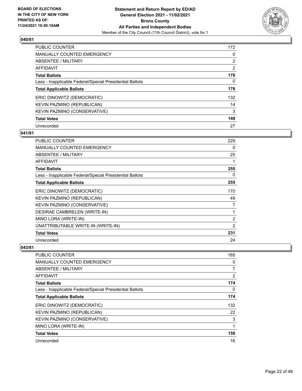

| PUBLIC COUNTER                                           | 172            |
|----------------------------------------------------------|----------------|
| <b>MANUALLY COUNTED EMERGENCY</b>                        | 0              |
| ABSENTEE / MILITARY                                      | $\overline{2}$ |
| AFFIDAVIT                                                | $\overline{2}$ |
| <b>Total Ballots</b>                                     | 176            |
| Less - Inapplicable Federal/Special Presidential Ballots | $\Omega$       |
| <b>Total Applicable Ballots</b>                          | 176            |
| ERIC DINOWITZ (DEMOCRATIC)                               | 132            |
| KEVIN PAZMINO (REPUBLICAN)                               | 14             |
| <b>KEVIN PAZMINO (CONSERVATIVE)</b>                      | 3              |
| <b>Total Votes</b>                                       | 149            |
| Unrecorded                                               | 27             |

#### **041/81**

| PUBLIC COUNTER                                           | 229            |
|----------------------------------------------------------|----------------|
| <b>MANUALLY COUNTED EMERGENCY</b>                        | 0              |
| ABSENTEE / MILITARY                                      | 25             |
| AFFIDAVIT                                                | 1              |
| <b>Total Ballots</b>                                     | 255            |
| Less - Inapplicable Federal/Special Presidential Ballots | 0              |
| <b>Total Applicable Ballots</b>                          | 255            |
| ERIC DINOWITZ (DEMOCRATIC)                               | 170            |
| KEVIN PAZMINO (REPUBLICAN)                               | 49             |
| KEVIN PAZMINO (CONSERVATIVE)                             | 7              |
| DESIRAE CAMBRELEN (WRITE-IN)                             | 1              |
| MINO LORA (WRITE-IN)                                     | 2              |
| UNATTRIBUTABLE WRITE-IN (WRITE-IN)                       | $\overline{2}$ |
| <b>Total Votes</b>                                       | 231            |
| Unrecorded                                               | 24             |

| PUBLIC COUNTER                                           | 165            |
|----------------------------------------------------------|----------------|
| MANUALLY COUNTED EMERGENCY                               | 0              |
| ABSENTEE / MILITARY                                      | $\overline{7}$ |
| AFFIDAVIT                                                | 2              |
| <b>Total Ballots</b>                                     | 174            |
| Less - Inapplicable Federal/Special Presidential Ballots | 0              |
| <b>Total Applicable Ballots</b>                          | 174            |
| ERIC DINOWITZ (DEMOCRATIC)                               | 132            |
| KEVIN PAZMINO (REPUBLICAN)                               | 22             |
| KEVIN PAZMINO (CONSERVATIVE)                             | 3              |
| MINO LORA (WRITE-IN)                                     | 1              |
| <b>Total Votes</b>                                       | 158            |
| Unrecorded                                               | 16             |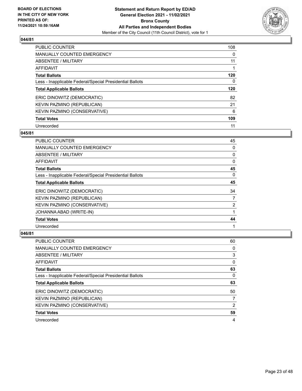

| <b>PUBLIC COUNTER</b>                                    | 108      |
|----------------------------------------------------------|----------|
| <b>MANUALLY COUNTED EMERGENCY</b>                        | 0        |
| ABSENTEE / MILITARY                                      | 11       |
| AFFIDAVIT                                                |          |
| <b>Total Ballots</b>                                     | 120      |
| Less - Inapplicable Federal/Special Presidential Ballots | $\Omega$ |
| <b>Total Applicable Ballots</b>                          | 120      |
| ERIC DINOWITZ (DEMOCRATIC)                               | 82       |
| KEVIN PAZMINO (REPUBLICAN)                               | 21       |
| <b>KEVIN PAZMINO (CONSERVATIVE)</b>                      | 6        |
| <b>Total Votes</b>                                       | 109      |
| Unrecorded                                               | 11       |

#### **045/81**

| <b>PUBLIC COUNTER</b>                                    | 45             |
|----------------------------------------------------------|----------------|
| MANUALLY COUNTED EMERGENCY                               | 0              |
| ABSENTEE / MILITARY                                      | 0              |
| AFFIDAVIT                                                | 0              |
| <b>Total Ballots</b>                                     | 45             |
| Less - Inapplicable Federal/Special Presidential Ballots | $\Omega$       |
| <b>Total Applicable Ballots</b>                          | 45             |
| ERIC DINOWITZ (DEMOCRATIC)                               | 34             |
| KEVIN PAZMINO (REPUBLICAN)                               | 7              |
| KEVIN PAZMINO (CONSERVATIVE)                             | $\overline{2}$ |
| JOHANNA ABAD (WRITE-IN)                                  |                |
| <b>Total Votes</b>                                       | 44             |
| Unrecorded                                               |                |

| <b>PUBLIC COUNTER</b>                                    | 60 |
|----------------------------------------------------------|----|
| <b>MANUALLY COUNTED EMERGENCY</b>                        | 0  |
| ABSENTEE / MILITARY                                      | 3  |
| AFFIDAVIT                                                | 0  |
| <b>Total Ballots</b>                                     | 63 |
| Less - Inapplicable Federal/Special Presidential Ballots | 0  |
|                                                          |    |
| <b>Total Applicable Ballots</b>                          | 63 |
| ERIC DINOWITZ (DEMOCRATIC)                               | 50 |
| KEVIN PAZMINO (REPUBLICAN)                               |    |
| KEVIN PAZMINO (CONSERVATIVE)                             | 2  |
| <b>Total Votes</b>                                       | 59 |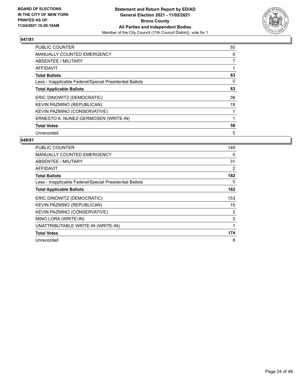

| <b>PUBLIC COUNTER</b>                                    | 55 |
|----------------------------------------------------------|----|
| <b>MANUALLY COUNTED EMERGENCY</b>                        | 0  |
| ABSENTEE / MILITARY                                      | 7  |
| <b>AFFIDAVIT</b>                                         | 1  |
| <b>Total Ballots</b>                                     | 63 |
| Less - Inapplicable Federal/Special Presidential Ballots | 0  |
| <b>Total Applicable Ballots</b>                          | 63 |
| ERIC DINOWITZ (DEMOCRATIC)                               | 38 |
| KEVIN PAZMINO (REPUBLICAN)                               | 18 |
| KEVIN PAZMINO (CONSERVATIVE)                             |    |
| ERNESTO A. NUNEZ-GERMOSEN (WRITE-IN)                     | 1  |
| <b>Total Votes</b>                                       | 58 |
| Unrecorded                                               | 5  |

| <b>PUBLIC COUNTER</b>                                    | 149 |
|----------------------------------------------------------|-----|
| <b>MANUALLY COUNTED EMERGENCY</b>                        | 0   |
| <b>ABSENTEE / MILITARY</b>                               | 31  |
| AFFIDAVIT                                                | 2   |
| <b>Total Ballots</b>                                     | 182 |
| Less - Inapplicable Federal/Special Presidential Ballots | 0   |
| <b>Total Applicable Ballots</b>                          | 182 |
| ERIC DINOWITZ (DEMOCRATIC)                               | 153 |
| KEVIN PAZMINO (REPUBLICAN)                               | 15  |
| KEVIN PAZMINO (CONSERVATIVE)                             | 2   |
| MINO LORA (WRITE-IN)                                     | 3   |
| UNATTRIBUTABLE WRITE-IN (WRITE-IN)                       | 1   |
| <b>Total Votes</b>                                       | 174 |
| Unrecorded                                               | 8   |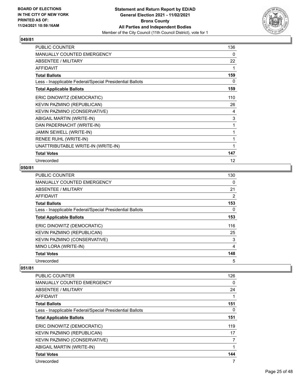

| PUBLIC COUNTER                                           | 136      |
|----------------------------------------------------------|----------|
| <b>MANUALLY COUNTED EMERGENCY</b>                        | $\Omega$ |
| ABSENTEE / MILITARY                                      | 22       |
| <b>AFFIDAVIT</b>                                         | 1        |
| <b>Total Ballots</b>                                     | 159      |
| Less - Inapplicable Federal/Special Presidential Ballots | 0        |
| <b>Total Applicable Ballots</b>                          | 159      |
| ERIC DINOWITZ (DEMOCRATIC)                               | 110      |
| KEVIN PAZMINO (REPUBLICAN)                               | 26       |
| KEVIN PAZMINO (CONSERVATIVE)                             | 4        |
| ABIGAIL MARTIN (WRITE-IN)                                | 3        |
| DAN PADERNACHT (WRITE-IN)                                | 1        |
| JAMIN SEWELL (WRITE-IN)                                  | 1        |
| RENEE RUHL (WRITE-IN)                                    | 1        |
| UNATTRIBUTABLE WRITE-IN (WRITE-IN)                       | 1        |
| <b>Total Votes</b>                                       | 147      |
| Unrecorded                                               | 12       |

### **050/81**

| <b>PUBLIC COUNTER</b>                                    | 130            |
|----------------------------------------------------------|----------------|
| MANUALLY COUNTED EMERGENCY                               | $\Omega$       |
| ABSENTEE / MILITARY                                      | 21             |
| <b>AFFIDAVIT</b>                                         | $\overline{2}$ |
| <b>Total Ballots</b>                                     | 153            |
| Less - Inapplicable Federal/Special Presidential Ballots | 0              |
| <b>Total Applicable Ballots</b>                          | 153            |
| ERIC DINOWITZ (DEMOCRATIC)                               | 116            |
| KEVIN PAZMINO (REPUBLICAN)                               | 25             |
| KEVIN PAZMINO (CONSERVATIVE)                             | 3              |
| MINO LORA (WRITE-IN)                                     | $\overline{4}$ |
| <b>Total Votes</b>                                       | 148            |
| Unrecorded                                               | 5              |

| <b>PUBLIC COUNTER</b>                                    | 126 |
|----------------------------------------------------------|-----|
| <b>MANUALLY COUNTED EMERGENCY</b>                        | 0   |
| ABSENTEE / MILITARY                                      | 24  |
| AFFIDAVIT                                                | 1   |
| <b>Total Ballots</b>                                     | 151 |
| Less - Inapplicable Federal/Special Presidential Ballots | 0   |
| <b>Total Applicable Ballots</b>                          | 151 |
| ERIC DINOWITZ (DEMOCRATIC)                               | 119 |
| KEVIN PAZMINO (REPUBLICAN)                               | 17  |
| KEVIN PAZMINO (CONSERVATIVE)                             | 7   |
| ABIGAIL MARTIN (WRITE-IN)                                |     |
| <b>Total Votes</b>                                       | 144 |
| Unrecorded                                               | 7   |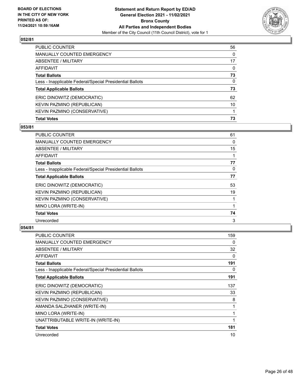

| <b>Total Votes</b>                                       | 73       |
|----------------------------------------------------------|----------|
| KEVIN PAZMINO (CONSERVATIVE)                             |          |
| KEVIN PAZMINO (REPUBLICAN)                               | 10       |
| ERIC DINOWITZ (DEMOCRATIC)                               | 62       |
| <b>Total Applicable Ballots</b>                          | 73       |
| Less - Inapplicable Federal/Special Presidential Ballots | 0        |
| <b>Total Ballots</b>                                     | 73       |
| AFFIDAVIT                                                | 0        |
| ABSENTEE / MILITARY                                      | 17       |
| <b>MANUALLY COUNTED EMERGENCY</b>                        | $\Omega$ |
| PUBLIC COUNTER                                           | 56       |

# **053/81**

| PUBLIC COUNTER                                           | 61       |
|----------------------------------------------------------|----------|
| <b>MANUALLY COUNTED EMERGENCY</b>                        | 0        |
| ABSENTEE / MILITARY                                      | 15       |
| AFFIDAVIT                                                |          |
| <b>Total Ballots</b>                                     | 77       |
| Less - Inapplicable Federal/Special Presidential Ballots | $\Omega$ |
| <b>Total Applicable Ballots</b>                          | 77       |
| ERIC DINOWITZ (DEMOCRATIC)                               | 53       |
| KEVIN PAZMINO (REPUBLICAN)                               | 19       |
| KEVIN PAZMINO (CONSERVATIVE)                             |          |
| MINO LORA (WRITE-IN)                                     |          |
| <b>Total Votes</b>                                       | 74       |
| Unrecorded                                               | 3        |

| <b>PUBLIC COUNTER</b>                                    | 159 |
|----------------------------------------------------------|-----|
| <b>MANUALLY COUNTED EMERGENCY</b>                        | 0   |
| ABSENTEE / MILITARY                                      | 32  |
| <b>AFFIDAVIT</b>                                         | 0   |
| <b>Total Ballots</b>                                     | 191 |
| Less - Inapplicable Federal/Special Presidential Ballots | 0   |
| <b>Total Applicable Ballots</b>                          | 191 |
| ERIC DINOWITZ (DEMOCRATIC)                               | 137 |
| KEVIN PAZMINO (REPUBLICAN)                               | 33  |
| KEVIN PAZMINO (CONSERVATIVE)                             | 8   |
| AMANDA SALZHANER (WRITE-IN)                              | 1   |
| MINO LORA (WRITE-IN)                                     | 1   |
| UNATTRIBUTABLE WRITE-IN (WRITE-IN)                       | 1   |
| <b>Total Votes</b>                                       | 181 |
| Unrecorded                                               | 10  |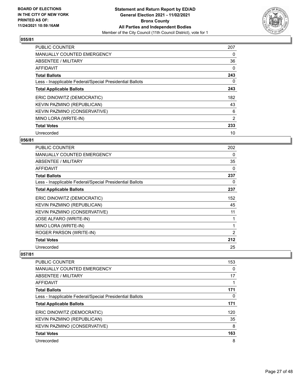

| <b>PUBLIC COUNTER</b>                                    | 207      |
|----------------------------------------------------------|----------|
| <b>MANUALLY COUNTED EMERGENCY</b>                        | 0        |
| ABSENTEE / MILITARY                                      | 36       |
| AFFIDAVIT                                                | $\Omega$ |
| <b>Total Ballots</b>                                     | 243      |
| Less - Inapplicable Federal/Special Presidential Ballots | 0        |
| <b>Total Applicable Ballots</b>                          | 243      |
| ERIC DINOWITZ (DEMOCRATIC)                               | 182      |
| KEVIN PAZMINO (REPUBLICAN)                               | 43       |
| KEVIN PAZMINO (CONSERVATIVE)                             | 6        |
| MINO LORA (WRITE-IN)                                     | 2        |
| <b>Total Votes</b>                                       | 233      |
| Unrecorded                                               | 10       |

# **056/81**

| <b>PUBLIC COUNTER</b>                                    | 202            |
|----------------------------------------------------------|----------------|
| <b>MANUALLY COUNTED EMERGENCY</b>                        | 0              |
| ABSENTEE / MILITARY                                      | 35             |
| AFFIDAVIT                                                | 0              |
| <b>Total Ballots</b>                                     | 237            |
| Less - Inapplicable Federal/Special Presidential Ballots | 0              |
| <b>Total Applicable Ballots</b>                          | 237            |
| ERIC DINOWITZ (DEMOCRATIC)                               | 152            |
| KEVIN PAZMINO (REPUBLICAN)                               | 45             |
| KEVIN PAZMINO (CONSERVATIVE)                             | 11             |
| JOSE ALFARO (WRITE-IN)                                   | 1              |
| MINO LORA (WRITE-IN)                                     | 1              |
| ROGER PARSON (WRITE-IN)                                  | $\overline{2}$ |
| <b>Total Votes</b>                                       | 212            |
| Unrecorded                                               | 25             |

| <b>PUBLIC COUNTER</b>                                    | 153 |
|----------------------------------------------------------|-----|
| MANUALLY COUNTED EMERGENCY                               | 0   |
| ABSENTEE / MILITARY                                      | 17  |
| AFFIDAVIT                                                |     |
| <b>Total Ballots</b>                                     | 171 |
| Less - Inapplicable Federal/Special Presidential Ballots | 0   |
| <b>Total Applicable Ballots</b>                          | 171 |
| ERIC DINOWITZ (DEMOCRATIC)                               | 120 |
| KEVIN PAZMINO (REPUBLICAN)                               | 35  |
| KEVIN PAZMINO (CONSERVATIVE)                             | 8   |
| <b>Total Votes</b>                                       | 163 |
| Unrecorded                                               | 8   |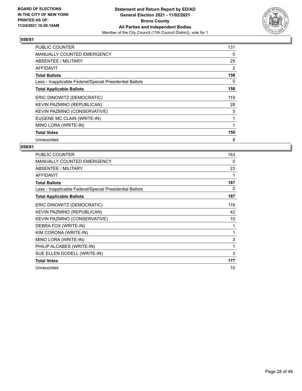

| <b>PUBLIC COUNTER</b>                                    | 131 |
|----------------------------------------------------------|-----|
| <b>MANUALLY COUNTED EMERGENCY</b>                        | 0   |
| <b>ABSENTEE / MILITARY</b>                               | 25  |
| <b>AFFIDAVIT</b>                                         | 2   |
| <b>Total Ballots</b>                                     | 158 |
| Less - Inapplicable Federal/Special Presidential Ballots | 0   |
| <b>Total Applicable Ballots</b>                          | 158 |
| ERIC DINOWITZ (DEMOCRATIC)                               | 115 |
| KEVIN PAZMINO (REPUBLICAN)                               | 28  |
| <b>KEVIN PAZMINO (CONSERVATIVE)</b>                      | 5   |
| EUGENE MC CLAIN (WRITE-IN)                               |     |
| MINO LORA (WRITE-IN)                                     |     |
| <b>Total Votes</b>                                       | 150 |
| Unrecorded                                               | 8   |

| <b>PUBLIC COUNTER</b>                                    | 163 |
|----------------------------------------------------------|-----|
| MANUALLY COUNTED EMERGENCY                               | 0   |
| ABSENTEE / MILITARY                                      | 23  |
| <b>AFFIDAVIT</b>                                         | 1   |
| <b>Total Ballots</b>                                     | 187 |
| Less - Inapplicable Federal/Special Presidential Ballots | 0   |
| <b>Total Applicable Ballots</b>                          | 187 |
| ERIC DINOWITZ (DEMOCRATIC)                               | 116 |
| KEVIN PAZMINO (REPUBLICAN)                               | 42  |
| KEVIN PAZMINO (CONSERVATIVE)                             | 10  |
| DEBRA FOX (WRITE-IN)                                     | 1   |
| KIM CORONA (WRITE-IN)                                    | 1   |
| MINO LORA (WRITE-IN)                                     | 3   |
| PHILIP ALCABES (WRITE-IN)                                | 1   |
| SUE ELLEN DODELL (WRITE-IN)                              | 3   |
| <b>Total Votes</b>                                       | 177 |
| Unrecorded                                               | 10  |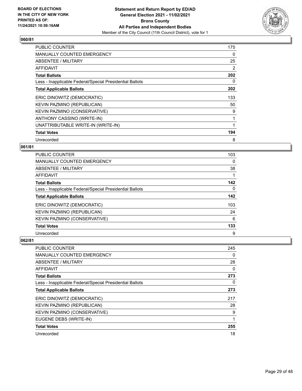

| <b>PUBLIC COUNTER</b>                                    | 175 |
|----------------------------------------------------------|-----|
| <b>MANUALLY COUNTED EMERGENCY</b>                        | 0   |
| <b>ABSENTEE / MILITARY</b>                               | 25  |
| <b>AFFIDAVIT</b>                                         | 2   |
| <b>Total Ballots</b>                                     | 202 |
| Less - Inapplicable Federal/Special Presidential Ballots | 0   |
| <b>Total Applicable Ballots</b>                          | 202 |
| ERIC DINOWITZ (DEMOCRATIC)                               | 133 |
| KEVIN PAZMINO (REPUBLICAN)                               | 50  |
| KEVIN PAZMINO (CONSERVATIVE)                             | 9   |
| ANTHONY CASSINO (WRITE-IN)                               | 1   |
| UNATTRIBUTABLE WRITE-IN (WRITE-IN)                       |     |
| <b>Total Votes</b>                                       | 194 |
| Unrecorded                                               | 8   |

# **061/81**

| <b>PUBLIC COUNTER</b>                                    | 103 |
|----------------------------------------------------------|-----|
| <b>MANUALLY COUNTED EMERGENCY</b>                        | 0   |
| ABSENTEE / MILITARY                                      | 38  |
| <b>AFFIDAVIT</b>                                         |     |
| <b>Total Ballots</b>                                     | 142 |
| Less - Inapplicable Federal/Special Presidential Ballots | 0   |
| <b>Total Applicable Ballots</b>                          | 142 |
| ERIC DINOWITZ (DEMOCRATIC)                               | 103 |
| KEVIN PAZMINO (REPUBLICAN)                               | 24  |
| KEVIN PAZMINO (CONSERVATIVE)                             | 6   |
| <b>Total Votes</b>                                       | 133 |
| Unrecorded                                               | 9   |

| <b>PUBLIC COUNTER</b>                                    | 245 |
|----------------------------------------------------------|-----|
| <b>MANUALLY COUNTED EMERGENCY</b>                        | 0   |
| ABSENTEE / MILITARY                                      | 28  |
| AFFIDAVIT                                                | 0   |
| <b>Total Ballots</b>                                     | 273 |
| Less - Inapplicable Federal/Special Presidential Ballots | 0   |
| <b>Total Applicable Ballots</b>                          | 273 |
| ERIC DINOWITZ (DEMOCRATIC)                               | 217 |
| KEVIN PAZMINO (REPUBLICAN)                               | 28  |
| KEVIN PAZMINO (CONSERVATIVE)                             | 9   |
| EUGENE DEBS (WRITE-IN)                                   | 1   |
| <b>Total Votes</b>                                       | 255 |
| Unrecorded                                               | 18  |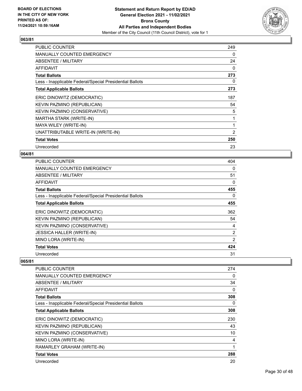

| <b>PUBLIC COUNTER</b>                                    | 249      |
|----------------------------------------------------------|----------|
| <b>MANUALLY COUNTED EMERGENCY</b>                        | 0        |
| ABSENTEE / MILITARY                                      | 24       |
| <b>AFFIDAVIT</b>                                         | $\Omega$ |
| <b>Total Ballots</b>                                     | 273      |
| Less - Inapplicable Federal/Special Presidential Ballots | 0        |
| <b>Total Applicable Ballots</b>                          | 273      |
| ERIC DINOWITZ (DEMOCRATIC)                               | 187      |
| KEVIN PAZMINO (REPUBLICAN)                               | 54       |
| KEVIN PAZMINO (CONSERVATIVE)                             | 5        |
| MARTHA STARK (WRITE-IN)                                  | 1        |
| MAYA WILEY (WRITE-IN)                                    | 1        |
| UNATTRIBUTABLE WRITE-IN (WRITE-IN)                       | 2        |
| <b>Total Votes</b>                                       | 250      |
| Unrecorded                                               | 23       |

# **064/81**

| <b>PUBLIC COUNTER</b>                                    | 404            |
|----------------------------------------------------------|----------------|
| MANUALLY COUNTED EMERGENCY                               | 0              |
| ABSENTEE / MILITARY                                      | 51             |
| AFFIDAVIT                                                | 0              |
| <b>Total Ballots</b>                                     | 455            |
| Less - Inapplicable Federal/Special Presidential Ballots | 0              |
| <b>Total Applicable Ballots</b>                          | 455            |
| ERIC DINOWITZ (DEMOCRATIC)                               | 362            |
| KEVIN PAZMINO (REPUBLICAN)                               | 54             |
| KEVIN PAZMINO (CONSERVATIVE)                             | 4              |
| <b>JESSICA HALLER (WRITE-IN)</b>                         | $\overline{2}$ |
| MINO LORA (WRITE-IN)                                     | $\overline{2}$ |
| <b>Total Votes</b>                                       | 424            |
| Unrecorded                                               | 31             |

| PUBLIC COUNTER                                           | 274 |
|----------------------------------------------------------|-----|
| MANUALLY COUNTED EMERGENCY                               | 0   |
| ABSENTEE / MILITARY                                      | 34  |
| AFFIDAVIT                                                | 0   |
| <b>Total Ballots</b>                                     | 308 |
| Less - Inapplicable Federal/Special Presidential Ballots | 0   |
| <b>Total Applicable Ballots</b>                          | 308 |
| ERIC DINOWITZ (DEMOCRATIC)                               | 230 |
| KEVIN PAZMINO (REPUBLICAN)                               | 43  |
| KEVIN PAZMINO (CONSERVATIVE)                             | 10  |
| MINO LORA (WRITE-IN)                                     | 4   |
| RAMARLEY GRAHAM (WRITE-IN)                               | 1   |
| <b>Total Votes</b>                                       | 288 |
| Unrecorded                                               | 20  |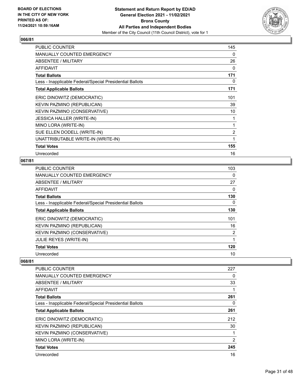

| PUBLIC COUNTER                                           | 145            |
|----------------------------------------------------------|----------------|
| <b>MANUALLY COUNTED EMERGENCY</b>                        | 0              |
| ABSENTEE / MILITARY                                      | 26             |
| AFFIDAVIT                                                | 0              |
| <b>Total Ballots</b>                                     | 171            |
| Less - Inapplicable Federal/Special Presidential Ballots | 0              |
| <b>Total Applicable Ballots</b>                          | 171            |
| ERIC DINOWITZ (DEMOCRATIC)                               | 101            |
| KEVIN PAZMINO (REPUBLICAN)                               | 39             |
| KEVIN PAZMINO (CONSERVATIVE)                             | 10             |
| <b>JESSICA HALLER (WRITE-IN)</b>                         |                |
| MINO LORA (WRITE-IN)                                     | 1              |
| SUE ELLEN DODELL (WRITE-IN)                              | $\overline{2}$ |
| UNATTRIBUTABLE WRITE-IN (WRITE-IN)                       | 1              |
| <b>Total Votes</b>                                       | 155            |
| Unrecorded                                               | 16             |

# **067/81**

| PUBLIC COUNTER                                           | 103 |
|----------------------------------------------------------|-----|
| <b>MANUALLY COUNTED EMERGENCY</b>                        | 0   |
| ABSENTEE / MILITARY                                      | 27  |
| AFFIDAVIT                                                | 0   |
| <b>Total Ballots</b>                                     | 130 |
| Less - Inapplicable Federal/Special Presidential Ballots | 0   |
| <b>Total Applicable Ballots</b>                          | 130 |
| ERIC DINOWITZ (DEMOCRATIC)                               | 101 |
| KEVIN PAZMINO (REPUBLICAN)                               | 16  |
| KEVIN PAZMINO (CONSERVATIVE)                             | 2   |
| <b>JULIE REYES (WRITE-IN)</b>                            | 1   |
| <b>Total Votes</b>                                       | 120 |
| Unrecorded                                               | 10  |

| <b>PUBLIC COUNTER</b>                                    | 227      |
|----------------------------------------------------------|----------|
| <b>MANUALLY COUNTED EMERGENCY</b>                        | 0        |
| ABSENTEE / MILITARY                                      | 33       |
| <b>AFFIDAVIT</b>                                         | 1        |
| <b>Total Ballots</b>                                     | 261      |
| Less - Inapplicable Federal/Special Presidential Ballots | $\Omega$ |
| <b>Total Applicable Ballots</b>                          | 261      |
| ERIC DINOWITZ (DEMOCRATIC)                               | 212      |
| KEVIN PAZMINO (REPUBLICAN)                               | 30       |
| KEVIN PAZMINO (CONSERVATIVE)                             |          |
| MINO LORA (WRITE-IN)                                     | 2        |
| <b>Total Votes</b>                                       | 245      |
| Unrecorded                                               | 16       |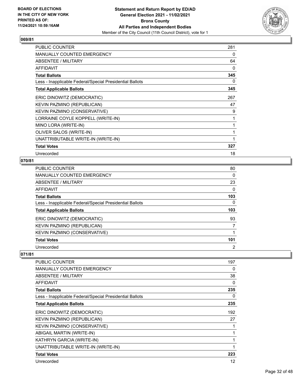

| PUBLIC COUNTER                                           | 281 |
|----------------------------------------------------------|-----|
| <b>MANUALLY COUNTED EMERGENCY</b>                        | 0   |
| ABSENTEE / MILITARY                                      | 64  |
| AFFIDAVIT                                                | 0   |
| <b>Total Ballots</b>                                     | 345 |
| Less - Inapplicable Federal/Special Presidential Ballots | 0   |
| <b>Total Applicable Ballots</b>                          | 345 |
| ERIC DINOWITZ (DEMOCRATIC)                               | 267 |
| KEVIN PAZMINO (REPUBLICAN)                               | 47  |
| KEVIN PAZMINO (CONSERVATIVE)                             | 9   |
| LORRAINE COYLE KOPPELL (WRITE-IN)                        |     |
| MINO LORA (WRITE-IN)                                     | 1   |
| OLIVER SALOS (WRITE-IN)                                  | 1   |
| UNATTRIBUTABLE WRITE-IN (WRITE-IN)                       | 1   |
| <b>Total Votes</b>                                       | 327 |
| Unrecorded                                               | 18  |

# **070/81**

| PUBLIC COUNTER                                           | 80             |
|----------------------------------------------------------|----------------|
| <b>MANUALLY COUNTED EMERGENCY</b>                        | $\Omega$       |
| ABSENTEE / MILITARY                                      | 23             |
| AFFIDAVIT                                                | 0              |
| <b>Total Ballots</b>                                     | 103            |
| Less - Inapplicable Federal/Special Presidential Ballots | 0              |
| <b>Total Applicable Ballots</b>                          | 103            |
| ERIC DINOWITZ (DEMOCRATIC)                               | 93             |
| KEVIN PAZMINO (REPUBLICAN)                               | 7              |
| KEVIN PAZMINO (CONSERVATIVE)                             |                |
| <b>Total Votes</b>                                       | 101            |
| Unrecorded                                               | $\overline{2}$ |

| PUBLIC COUNTER                                           | 197          |
|----------------------------------------------------------|--------------|
| <b>MANUALLY COUNTED EMERGENCY</b>                        | 0            |
| <b>ABSENTEE / MILITARY</b>                               | 38           |
| AFFIDAVIT                                                | 0            |
| <b>Total Ballots</b>                                     | 235          |
| Less - Inapplicable Federal/Special Presidential Ballots | 0            |
| <b>Total Applicable Ballots</b>                          | 235          |
| ERIC DINOWITZ (DEMOCRATIC)                               | 192          |
| KEVIN PAZMINO (REPUBLICAN)                               | 27           |
| KEVIN PAZMINO (CONSERVATIVE)                             | 1            |
| ABIGAIL MARTIN (WRITE-IN)                                | 1            |
| KATHRYN GARCIA (WRITE-IN)                                | $\mathbf{1}$ |
| UNATTRIBUTABLE WRITE-IN (WRITE-IN)                       | $\mathbf{1}$ |
| <b>Total Votes</b>                                       | 223          |
| Unrecorded                                               | 12           |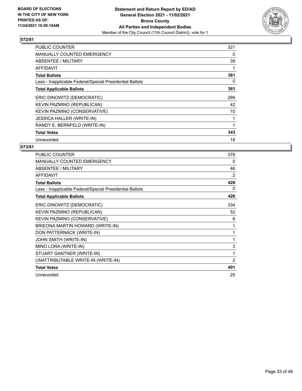

| <b>PUBLIC COUNTER</b>                                    | 321 |
|----------------------------------------------------------|-----|
| <b>MANUALLY COUNTED EMERGENCY</b>                        | 0   |
| <b>ABSENTEE / MILITARY</b>                               | 39  |
| AFFIDAVIT                                                |     |
| <b>Total Ballots</b>                                     | 361 |
| Less - Inapplicable Federal/Special Presidential Ballots | 0   |
| <b>Total Applicable Ballots</b>                          | 361 |
| ERIC DINOWITZ (DEMOCRATIC)                               | 289 |
| KEVIN PAZMINO (REPUBLICAN)                               | 42  |
| KEVIN PAZMINO (CONSERVATIVE)                             | 10  |
| <b>JESSICA HALLER (WRITE-IN)</b>                         | 1   |
| RANDY E. BERNFELD (WRITE-IN)                             |     |
| <b>Total Votes</b>                                       | 343 |
| Unrecorded                                               | 18  |

| PUBLIC COUNTER                                           | 378            |
|----------------------------------------------------------|----------------|
| <b>MANUALLY COUNTED EMERGENCY</b>                        | 0              |
| ABSENTEE / MILITARY                                      | 46             |
| <b>AFFIDAVIT</b>                                         | 2              |
| <b>Total Ballots</b>                                     | 426            |
| Less - Inapplicable Federal/Special Presidential Ballots | 0              |
| <b>Total Applicable Ballots</b>                          | 426            |
| ERIC DINOWITZ (DEMOCRATIC)                               | 334            |
| KEVIN PAZMINO (REPUBLICAN)                               | 52             |
| KEVIN PAZMINO (CONSERVATIVE)                             | 6              |
| BRIEONA MARTIN HOWARD (WRITE-IN)                         | 1              |
| DON PATTERNACK (WRITE-IN)                                | 1              |
| JOHN SMITH (WRITE-IN)                                    | 1              |
| MINO LORA (WRITE-IN)                                     | 3              |
| STUART GANTNER (WRITE-IN)                                | 1              |
| UNATTRIBUTABLE WRITE-IN (WRITE-IN)                       | $\overline{2}$ |
| <b>Total Votes</b>                                       | 401            |
| Unrecorded                                               | 25             |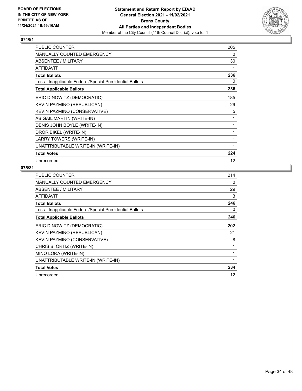

| <b>PUBLIC COUNTER</b>                                    | 205 |
|----------------------------------------------------------|-----|
| <b>MANUALLY COUNTED EMERGENCY</b>                        | 0   |
| ABSENTEE / MILITARY                                      | 30  |
| <b>AFFIDAVIT</b>                                         | 1   |
| <b>Total Ballots</b>                                     | 236 |
| Less - Inapplicable Federal/Special Presidential Ballots | 0   |
| <b>Total Applicable Ballots</b>                          | 236 |
| ERIC DINOWITZ (DEMOCRATIC)                               | 185 |
| KEVIN PAZMINO (REPUBLICAN)                               | 29  |
| KEVIN PAZMINO (CONSERVATIVE)                             | 5   |
| ABIGAIL MARTIN (WRITE-IN)                                | 1   |
| DENIS JOHN BOYLE (WRITE-IN)                              | 1   |
| DROR BIKEL (WRITE-IN)                                    | 1   |
| LARRY TOWERS (WRITE-IN)                                  | 1   |
| UNATTRIBUTABLE WRITE-IN (WRITE-IN)                       | 1   |
| <b>Total Votes</b>                                       | 224 |
| Unrecorded                                               | 12  |

| <b>PUBLIC COUNTER</b>                                    | 214 |
|----------------------------------------------------------|-----|
| <b>MANUALLY COUNTED EMERGENCY</b>                        | 0   |
| ABSENTEE / MILITARY                                      | 29  |
| <b>AFFIDAVIT</b>                                         | 3   |
| <b>Total Ballots</b>                                     | 246 |
| Less - Inapplicable Federal/Special Presidential Ballots | 0   |
| <b>Total Applicable Ballots</b>                          | 246 |
| ERIC DINOWITZ (DEMOCRATIC)                               | 202 |
| KEVIN PAZMINO (REPUBLICAN)                               | 21  |
| KEVIN PAZMINO (CONSERVATIVE)                             | 8   |
| CHRIS B. ORTIZ (WRITE-IN)                                | 1   |
| MINO LORA (WRITE-IN)                                     | 1   |
| UNATTRIBUTABLE WRITE-IN (WRITE-IN)                       | 1   |
| <b>Total Votes</b>                                       | 234 |
| Unrecorded                                               | 12  |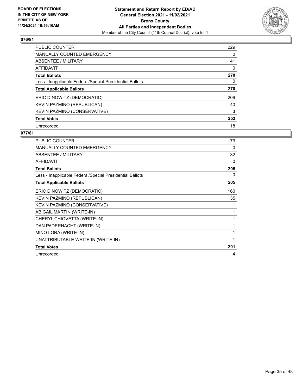

| <b>PUBLIC COUNTER</b>                                    | 229      |
|----------------------------------------------------------|----------|
| <b>MANUALLY COUNTED EMERGENCY</b>                        | 0        |
| ABSENTEE / MILITARY                                      | 41       |
| <b>AFFIDAVIT</b>                                         | $\Omega$ |
| <b>Total Ballots</b>                                     | 270      |
| Less - Inapplicable Federal/Special Presidential Ballots | 0        |
| <b>Total Applicable Ballots</b>                          | 270      |
| ERIC DINOWITZ (DEMOCRATIC)                               | 209      |
| KEVIN PAZMINO (REPUBLICAN)                               | 40       |
| KEVIN PAZMINO (CONSERVATIVE)                             | 3        |
| <b>Total Votes</b>                                       | 252      |
| Unrecorded                                               | 18       |

| <b>PUBLIC COUNTER</b>                                    | 173 |
|----------------------------------------------------------|-----|
| <b>MANUALLY COUNTED EMERGENCY</b>                        | 0   |
| ABSENTEE / MILITARY                                      | 32  |
| <b>AFFIDAVIT</b>                                         | 0   |
| <b>Total Ballots</b>                                     | 205 |
| Less - Inapplicable Federal/Special Presidential Ballots | 0   |
| <b>Total Applicable Ballots</b>                          | 205 |
| ERIC DINOWITZ (DEMOCRATIC)                               | 160 |
| KEVIN PAZMINO (REPUBLICAN)                               | 35  |
| KEVIN PAZMINO (CONSERVATIVE)                             | 1   |
| ABIGAIL MARTIN (WRITE-IN)                                | 1   |
| CHERYL CHIOVETTA (WRITE-IN)                              | 1   |
| DAN PADERNACHT (WRITE-IN)                                | 1   |
| MINO LORA (WRITE-IN)                                     | 1   |
| UNATTRIBUTABLE WRITE-IN (WRITE-IN)                       | 1   |
| <b>Total Votes</b>                                       | 201 |
| Unrecorded                                               | 4   |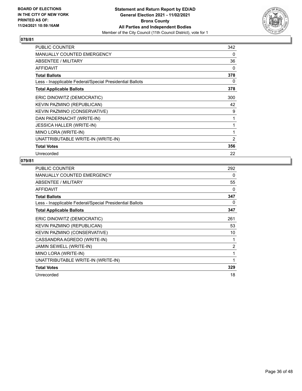

| <b>PUBLIC COUNTER</b>                                    | 342            |
|----------------------------------------------------------|----------------|
| MANUALLY COUNTED EMERGENCY                               | 0              |
| ABSENTEE / MILITARY                                      | 36             |
| <b>AFFIDAVIT</b>                                         | 0              |
| <b>Total Ballots</b>                                     | 378            |
| Less - Inapplicable Federal/Special Presidential Ballots | 0              |
| <b>Total Applicable Ballots</b>                          | 378            |
| ERIC DINOWITZ (DEMOCRATIC)                               | 300            |
| KEVIN PAZMINO (REPUBLICAN)                               | 42             |
| KEVIN PAZMINO (CONSERVATIVE)                             | 9              |
| DAN PADERNACHT (WRITE-IN)                                |                |
| <b>JESSICA HALLER (WRITE-IN)</b>                         | $\mathbf{1}$   |
| MINO LORA (WRITE-IN)                                     | 1              |
| UNATTRIBUTABLE WRITE-IN (WRITE-IN)                       | $\overline{2}$ |
| <b>Total Votes</b>                                       | 356            |
| Unrecorded                                               | 22             |

| <b>PUBLIC COUNTER</b>                                    | 292            |
|----------------------------------------------------------|----------------|
| MANUALLY COUNTED EMERGENCY                               | 0              |
| ABSENTEE / MILITARY                                      | 55             |
| <b>AFFIDAVIT</b>                                         | 0              |
| <b>Total Ballots</b>                                     | 347            |
| Less - Inapplicable Federal/Special Presidential Ballots | 0              |
| <b>Total Applicable Ballots</b>                          | 347            |
| ERIC DINOWITZ (DEMOCRATIC)                               | 261            |
| KEVIN PAZMINO (REPUBLICAN)                               | 53             |
| KEVIN PAZMINO (CONSERVATIVE)                             | 10             |
| CASSANDRA AGREDO (WRITE-IN)                              | 1              |
| JAMIN SEWELL (WRITE-IN)                                  | $\overline{2}$ |
| MINO LORA (WRITE-IN)                                     | 1              |
| UNATTRIBUTABLE WRITE-IN (WRITE-IN)                       | 1              |
| <b>Total Votes</b>                                       | 329            |
| Unrecorded                                               | 18             |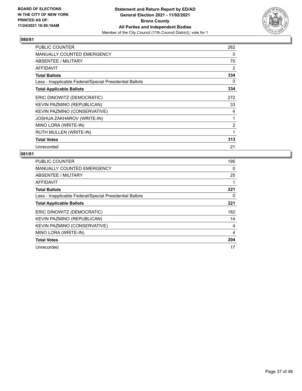

| <b>PUBLIC COUNTER</b>                                    | 262            |
|----------------------------------------------------------|----------------|
| MANUALLY COUNTED EMERGENCY                               | 0              |
| ABSENTEE / MILITARY                                      | 70             |
| AFFIDAVIT                                                | 2              |
| <b>Total Ballots</b>                                     | 334            |
| Less - Inapplicable Federal/Special Presidential Ballots | 0              |
| <b>Total Applicable Ballots</b>                          | 334            |
| ERIC DINOWITZ (DEMOCRATIC)                               | 272            |
| KEVIN PAZMINO (REPUBLICAN)                               | 33             |
| KEVIN PAZMINO (CONSERVATIVE)                             | 4              |
| JOSHUA ZAKHAROV (WRITE-IN)                               |                |
| MINO LORA (WRITE-IN)                                     | $\overline{2}$ |
| RUTH MULLEN (WRITE-IN)                                   | 1              |
| <b>Total Votes</b>                                       | 313            |
| Unrecorded                                               | 21             |

| <b>PUBLIC COUNTER</b>                                    | 195 |
|----------------------------------------------------------|-----|
| <b>MANUALLY COUNTED EMERGENCY</b>                        | 0   |
| ABSENTEE / MILITARY                                      | 25  |
| <b>AFFIDAVIT</b>                                         |     |
| <b>Total Ballots</b>                                     | 221 |
| Less - Inapplicable Federal/Special Presidential Ballots | 0   |
| <b>Total Applicable Ballots</b>                          | 221 |
| ERIC DINOWITZ (DEMOCRATIC)                               | 182 |
| KEVIN PAZMINO (REPUBLICAN)                               | 14  |
| KEVIN PAZMINO (CONSERVATIVE)                             | 4   |
| MINO LORA (WRITE-IN)                                     | 4   |
| <b>Total Votes</b>                                       | 204 |
| Unrecorded                                               | 17  |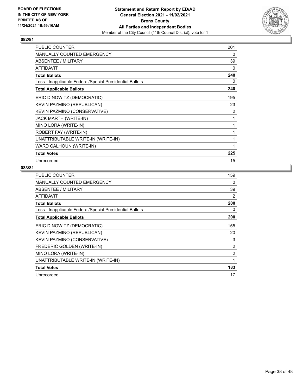

| <b>PUBLIC COUNTER</b>                                    | 201 |
|----------------------------------------------------------|-----|
| MANUALLY COUNTED EMERGENCY                               | 0   |
| ABSENTEE / MILITARY                                      | 39  |
| <b>AFFIDAVIT</b>                                         | 0   |
| <b>Total Ballots</b>                                     | 240 |
| Less - Inapplicable Federal/Special Presidential Ballots | 0   |
| <b>Total Applicable Ballots</b>                          | 240 |
| ERIC DINOWITZ (DEMOCRATIC)                               | 195 |
| KEVIN PAZMINO (REPUBLICAN)                               | 23  |
| KEVIN PAZMINO (CONSERVATIVE)                             | 2   |
| JACK MARTH (WRITE-IN)                                    | 1   |
| MINO LORA (WRITE-IN)                                     | 1   |
| ROBERT FAY (WRITE-IN)                                    | 1   |
| UNATTRIBUTABLE WRITE-IN (WRITE-IN)                       | 1   |
| WARD CALHOUN (WRITE-IN)                                  | 1   |
| <b>Total Votes</b>                                       | 225 |
| Unrecorded                                               | 15  |

| <b>PUBLIC COUNTER</b>                                    | 159 |
|----------------------------------------------------------|-----|
| <b>MANUALLY COUNTED EMERGENCY</b>                        | 0   |
| ABSENTEE / MILITARY                                      | 39  |
| <b>AFFIDAVIT</b>                                         | 2   |
| <b>Total Ballots</b>                                     | 200 |
| Less - Inapplicable Federal/Special Presidential Ballots | 0   |
| <b>Total Applicable Ballots</b>                          | 200 |
| ERIC DINOWITZ (DEMOCRATIC)                               | 155 |
| KEVIN PAZMINO (REPUBLICAN)                               | 20  |
| KEVIN PAZMINO (CONSERVATIVE)                             | 3   |
| FREDERIC GOLDEN (WRITE-IN)                               | 2   |
| MINO LORA (WRITE-IN)                                     | 2   |
| UNATTRIBUTABLE WRITE-IN (WRITE-IN)                       | 1   |
| <b>Total Votes</b>                                       | 183 |
| Unrecorded                                               | 17  |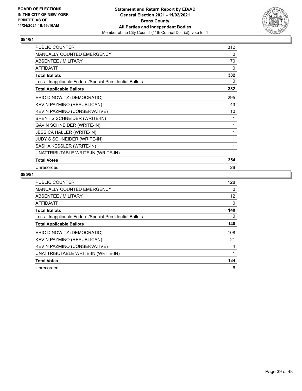

| <b>PUBLIC COUNTER</b>                                    | 312 |
|----------------------------------------------------------|-----|
| MANUALLY COUNTED EMERGENCY                               | 0   |
| ABSENTEE / MILITARY                                      | 70  |
| <b>AFFIDAVIT</b>                                         | 0   |
| <b>Total Ballots</b>                                     | 382 |
| Less - Inapplicable Federal/Special Presidential Ballots | 0   |
| <b>Total Applicable Ballots</b>                          | 382 |
| ERIC DINOWITZ (DEMOCRATIC)                               | 295 |
| KEVIN PAZMINO (REPUBLICAN)                               | 43  |
| KEVIN PAZMINO (CONSERVATIVE)                             | 10  |
| BRENT S SCHNEIDER (WRITE-IN)                             | 1   |
| <b>GAVIN SCHNEIDER (WRITE-IN)</b>                        | 1   |
| <b>JESSICA HALLER (WRITE-IN)</b>                         | 1   |
| JUDY S SCHNEIDER (WRITE-IN)                              | 1   |
| SASHA KESSLER (WRITE-IN)                                 | 1   |
| UNATTRIBUTABLE WRITE-IN (WRITE-IN)                       | 1   |
| <b>Total Votes</b>                                       | 354 |
| Unrecorded                                               | 28  |

| <b>PUBLIC COUNTER</b>                                    | 128 |
|----------------------------------------------------------|-----|
| <b>MANUALLY COUNTED EMERGENCY</b>                        | 0   |
| ABSENTEE / MILITARY                                      | 12  |
| AFFIDAVIT                                                | 0   |
| <b>Total Ballots</b>                                     | 140 |
| Less - Inapplicable Federal/Special Presidential Ballots | 0   |
| <b>Total Applicable Ballots</b>                          | 140 |
| ERIC DINOWITZ (DEMOCRATIC)                               | 108 |
| KEVIN PAZMINO (REPUBLICAN)                               | 21  |
| KEVIN PAZMINO (CONSERVATIVE)                             | 4   |
| UNATTRIBUTABLE WRITE-IN (WRITE-IN)                       |     |
| <b>Total Votes</b>                                       | 134 |
| Unrecorded                                               | 6   |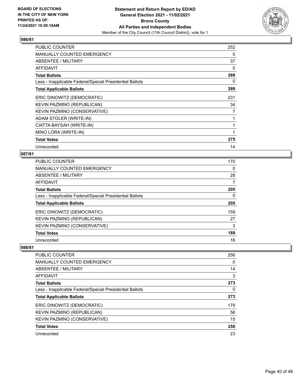

| <b>PUBLIC COUNTER</b>                                    | 252      |
|----------------------------------------------------------|----------|
| <b>MANUALLY COUNTED EMERGENCY</b>                        | 0        |
| ABSENTEE / MILITARY                                      | 37       |
| <b>AFFIDAVIT</b>                                         | $\Omega$ |
| <b>Total Ballots</b>                                     | 289      |
| Less - Inapplicable Federal/Special Presidential Ballots | 0        |
| <b>Total Applicable Ballots</b>                          | 289      |
| ERIC DINOWITZ (DEMOCRATIC)                               | 231      |
| KEVIN PAZMINO (REPUBLICAN)                               | 34       |
| KEVIN PAZMINO (CONSERVATIVE)                             | 7        |
| ADAM STOLER (WRITE-IN)                                   |          |
| CIATTA BAYSAH (WRITE-IN)                                 |          |
| MINO LORA (WRITE-IN)                                     |          |
| <b>Total Votes</b>                                       | 275      |
| Unrecorded                                               | 14       |

#### **087/81**

| <b>PUBLIC COUNTER</b>                                    | 170 |
|----------------------------------------------------------|-----|
| <b>MANUALLY COUNTED EMERGENCY</b>                        | 0   |
| ABSENTEE / MILITARY                                      | 28  |
| AFFIDAVIT                                                | 7   |
| <b>Total Ballots</b>                                     | 205 |
| Less - Inapplicable Federal/Special Presidential Ballots | 0   |
| <b>Total Applicable Ballots</b>                          | 205 |
| ERIC DINOWITZ (DEMOCRATIC)                               | 159 |
| KEVIN PAZMINO (REPUBLICAN)                               | 27  |
| KEVIN PAZMINO (CONSERVATIVE)                             | 3   |
| <b>Total Votes</b>                                       | 189 |
| Unrecorded                                               | 16  |

| PUBLIC COUNTER                                           | 256      |
|----------------------------------------------------------|----------|
| MANUALLY COUNTED EMERGENCY                               | $\Omega$ |
| ABSENTEE / MILITARY                                      | 14       |
| AFFIDAVIT                                                | 3        |
| <b>Total Ballots</b>                                     | 273      |
| Less - Inapplicable Federal/Special Presidential Ballots | $\Omega$ |
| <b>Total Applicable Ballots</b>                          | 273      |
| ERIC DINOWITZ (DEMOCRATIC)                               | 179      |
| KEVIN PAZMINO (REPUBLICAN)                               | 56       |
| KEVIN PAZMINO (CONSERVATIVE)                             | 15       |
| <b>Total Votes</b>                                       | 250      |
| Unrecorded                                               | 23       |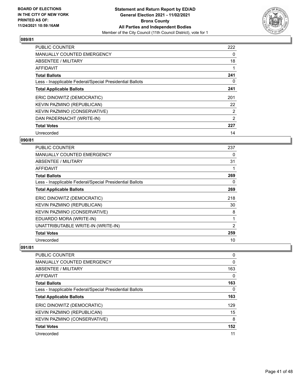

| <b>PUBLIC COUNTER</b>                                    | 222            |
|----------------------------------------------------------|----------------|
| <b>MANUALLY COUNTED EMERGENCY</b>                        | 0              |
| ABSENTEE / MILITARY                                      | 18             |
| <b>AFFIDAVIT</b>                                         |                |
| <b>Total Ballots</b>                                     | 241            |
| Less - Inapplicable Federal/Special Presidential Ballots | 0              |
| <b>Total Applicable Ballots</b>                          | 241            |
| ERIC DINOWITZ (DEMOCRATIC)                               | 201            |
| KEVIN PAZMINO (REPUBLICAN)                               | 22             |
| KEVIN PAZMINO (CONSERVATIVE)                             | $\overline{2}$ |
| DAN PADERNACHT (WRITE-IN)                                | 2              |
| <b>Total Votes</b>                                       | 227            |
| Unrecorded                                               | 14             |

# **090/81**

| <b>PUBLIC COUNTER</b>                                    | 237            |
|----------------------------------------------------------|----------------|
| <b>MANUALLY COUNTED EMERGENCY</b>                        | 0              |
| ABSENTEE / MILITARY                                      | 31             |
| AFFIDAVIT                                                | 1              |
| <b>Total Ballots</b>                                     | 269            |
| Less - Inapplicable Federal/Special Presidential Ballots | 0              |
| <b>Total Applicable Ballots</b>                          | 269            |
| ERIC DINOWITZ (DEMOCRATIC)                               | 218            |
| KEVIN PAZMINO (REPUBLICAN)                               | 30             |
| KEVIN PAZMINO (CONSERVATIVE)                             | 8              |
| EDUARDO MORA (WRITE-IN)                                  | 1              |
| UNATTRIBUTABLE WRITE-IN (WRITE-IN)                       | $\overline{2}$ |
| <b>Total Votes</b>                                       | 259            |
| Unrecorded                                               | 10             |

| PUBLIC COUNTER                                           | 0        |
|----------------------------------------------------------|----------|
| <b>MANUALLY COUNTED EMERGENCY</b>                        | 0        |
| ABSENTEE / MILITARY                                      | 163      |
| AFFIDAVIT                                                | 0        |
| <b>Total Ballots</b>                                     | 163      |
| Less - Inapplicable Federal/Special Presidential Ballots | $\Omega$ |
| <b>Total Applicable Ballots</b>                          | 163      |
| ERIC DINOWITZ (DEMOCRATIC)                               | 129      |
| KEVIN PAZMINO (REPUBLICAN)                               | 15       |
| KEVIN PAZMINO (CONSERVATIVE)                             | 8        |
| <b>Total Votes</b>                                       | 152      |
| Unrecorded                                               | 11       |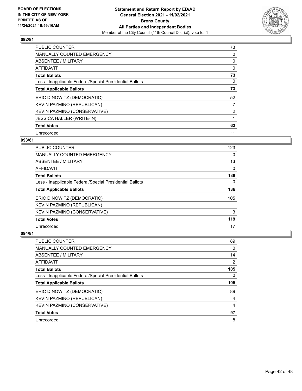

| PUBLIC COUNTER                                           | 73             |
|----------------------------------------------------------|----------------|
| <b>MANUALLY COUNTED EMERGENCY</b>                        | 0              |
| ABSENTEE / MILITARY                                      | 0              |
| AFFIDAVIT                                                | 0              |
| <b>Total Ballots</b>                                     | 73             |
| Less - Inapplicable Federal/Special Presidential Ballots | 0              |
| <b>Total Applicable Ballots</b>                          | 73             |
| ERIC DINOWITZ (DEMOCRATIC)                               | 52             |
| KEVIN PAZMINO (REPUBLICAN)                               | 7              |
| KEVIN PAZMINO (CONSERVATIVE)                             | $\overline{2}$ |
| <b>JESSICA HALLER (WRITE-IN)</b>                         |                |
| <b>Total Votes</b>                                       | 62             |
| Unrecorded                                               | 11             |

#### **093/81**

| <b>PUBLIC COUNTER</b>                                    | 123      |
|----------------------------------------------------------|----------|
| <b>MANUALLY COUNTED EMERGENCY</b>                        | 0        |
| ABSENTEE / MILITARY                                      | 13       |
| AFFIDAVIT                                                | $\Omega$ |
| <b>Total Ballots</b>                                     | 136      |
| Less - Inapplicable Federal/Special Presidential Ballots | 0        |
| <b>Total Applicable Ballots</b>                          | 136      |
| ERIC DINOWITZ (DEMOCRATIC)                               | 105      |
| KEVIN PAZMINO (REPUBLICAN)                               | 11       |
| KEVIN PAZMINO (CONSERVATIVE)                             | 3        |
| <b>Total Votes</b>                                       | 119      |
| Unrecorded                                               | 17       |

| <b>PUBLIC COUNTER</b>                                    | 89             |
|----------------------------------------------------------|----------------|
| <b>MANUALLY COUNTED EMERGENCY</b>                        | 0              |
| ABSENTEE / MILITARY                                      | 14             |
| AFFIDAVIT                                                | 2              |
| <b>Total Ballots</b>                                     | 105            |
| Less - Inapplicable Federal/Special Presidential Ballots | 0              |
|                                                          |                |
| <b>Total Applicable Ballots</b>                          | 105            |
| ERIC DINOWITZ (DEMOCRATIC)                               | 89             |
| KEVIN PAZMINO (REPUBLICAN)                               | 4              |
| KEVIN PAZMINO (CONSERVATIVE)                             | $\overline{4}$ |
| <b>Total Votes</b>                                       | 97             |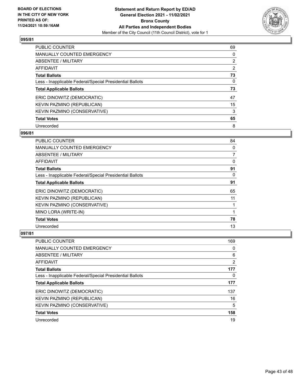

| PUBLIC COUNTER                                           | 69             |
|----------------------------------------------------------|----------------|
| <b>MANUALLY COUNTED EMERGENCY</b>                        | 0              |
| ABSENTEE / MILITARY                                      | $\overline{2}$ |
| AFFIDAVIT                                                | $\overline{2}$ |
| <b>Total Ballots</b>                                     | 73             |
| Less - Inapplicable Federal/Special Presidential Ballots | $\Omega$       |
| <b>Total Applicable Ballots</b>                          | 73             |
| ERIC DINOWITZ (DEMOCRATIC)                               | 47             |
| KEVIN PAZMINO (REPUBLICAN)                               | 15             |
| <b>KEVIN PAZMINO (CONSERVATIVE)</b>                      | 3              |
| <b>Total Votes</b>                                       | 65             |
| Unrecorded                                               | 8              |

#### **096/81**

| <b>PUBLIC COUNTER</b>                                    | 84             |
|----------------------------------------------------------|----------------|
| MANUALLY COUNTED EMERGENCY                               | 0              |
| ABSENTEE / MILITARY                                      | $\overline{7}$ |
| <b>AFFIDAVIT</b>                                         | 0              |
| <b>Total Ballots</b>                                     | 91             |
| Less - Inapplicable Federal/Special Presidential Ballots | 0              |
| <b>Total Applicable Ballots</b>                          | 91             |
| ERIC DINOWITZ (DEMOCRATIC)                               | 65             |
| KEVIN PAZMINO (REPUBLICAN)                               | 11             |
| KEVIN PAZMINO (CONSERVATIVE)                             |                |
| MINO LORA (WRITE-IN)                                     |                |
| <b>Total Votes</b>                                       | 78             |
| Unrecorded                                               | 13             |

| <b>PUBLIC COUNTER</b>                                    | 169 |
|----------------------------------------------------------|-----|
| <b>MANUALLY COUNTED EMERGENCY</b>                        | 0   |
| ABSENTEE / MILITARY                                      | 6   |
| AFFIDAVIT                                                | 2   |
| <b>Total Ballots</b>                                     | 177 |
| Less - Inapplicable Federal/Special Presidential Ballots | 0   |
| <b>Total Applicable Ballots</b>                          | 177 |
| ERIC DINOWITZ (DEMOCRATIC)                               | 137 |
| KEVIN PAZMINO (REPUBLICAN)                               | 16  |
| KEVIN PAZMINO (CONSERVATIVE)                             | 5   |
| <b>Total Votes</b>                                       | 158 |
| Unrecorded                                               | 19  |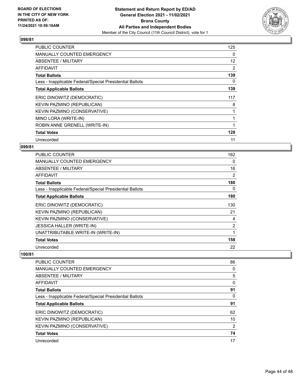

| <b>PUBLIC COUNTER</b>                                    | 125               |
|----------------------------------------------------------|-------------------|
| <b>MANUALLY COUNTED EMERGENCY</b>                        | 0                 |
| ABSENTEE / MILITARY                                      | $12 \overline{ }$ |
| AFFIDAVIT                                                | 2                 |
| <b>Total Ballots</b>                                     | 139               |
| Less - Inapplicable Federal/Special Presidential Ballots | 0                 |
| <b>Total Applicable Ballots</b>                          | 139               |
| ERIC DINOWITZ (DEMOCRATIC)                               | 117               |
| KEVIN PAZMINO (REPUBLICAN)                               | 8                 |
| KEVIN PAZMINO (CONSERVATIVE)                             |                   |
| MINO LORA (WRITE-IN)                                     | 1                 |
| ROBIN ANNE GRENELL (WRITE-IN)                            |                   |
| <b>Total Votes</b>                                       | 128               |
| Unrecorded                                               | 11                |

# **099/81**

| <b>PUBLIC COUNTER</b>                                    | 162            |
|----------------------------------------------------------|----------------|
| <b>MANUALLY COUNTED EMERGENCY</b>                        | 0              |
| ABSENTEE / MILITARY                                      | 16             |
| <b>AFFIDAVIT</b>                                         | 2              |
| <b>Total Ballots</b>                                     | 180            |
| Less - Inapplicable Federal/Special Presidential Ballots | 0              |
| <b>Total Applicable Ballots</b>                          | 180            |
| ERIC DINOWITZ (DEMOCRATIC)                               | 130            |
| KEVIN PAZMINO (REPUBLICAN)                               | 21             |
| KEVIN PAZMINO (CONSERVATIVE)                             | 4              |
| <b>JESSICA HALLER (WRITE-IN)</b>                         | $\overline{2}$ |
| UNATTRIBUTABLE WRITE-IN (WRITE-IN)                       | 1              |
| <b>Total Votes</b>                                       | 158            |
| Unrecorded                                               | 22             |

| 86 |
|----|
| 0  |
| 5  |
| 0  |
| 91 |
| 0  |
| 91 |
| 62 |
| 10 |
| 2  |
| 74 |
| 17 |
|    |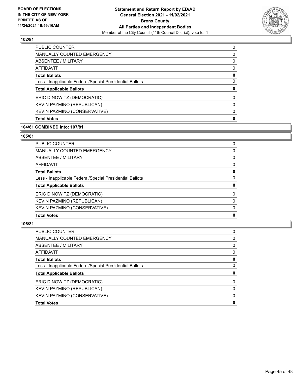

| <b>PUBLIC COUNTER</b>                                    | 0        |
|----------------------------------------------------------|----------|
| <b>MANUALLY COUNTED EMERGENCY</b>                        | 0        |
| ABSENTEE / MILITARY                                      | $\Omega$ |
| AFFIDAVIT                                                | 0        |
| <b>Total Ballots</b>                                     | 0        |
| Less - Inapplicable Federal/Special Presidential Ballots | 0        |
| <b>Total Applicable Ballots</b>                          | 0        |
| ERIC DINOWITZ (DEMOCRATIC)                               | $\Omega$ |
| KEVIN PAZMINO (REPUBLICAN)                               | $\Omega$ |
| KEVIN PAZMINO (CONSERVATIVE)                             | $\Omega$ |
| <b>Total Votes</b>                                       | 0        |
|                                                          |          |

#### **104/81 COMBINED into: 107/81**

### **105/81**

| <b>Total Votes</b>                                       | 0        |
|----------------------------------------------------------|----------|
| KEVIN PAZMINO (CONSERVATIVE)                             | $\Omega$ |
| KEVIN PAZMINO (REPUBLICAN)                               | $\Omega$ |
| ERIC DINOWITZ (DEMOCRATIC)                               | 0        |
| <b>Total Applicable Ballots</b>                          | 0        |
| Less - Inapplicable Federal/Special Presidential Ballots | $\Omega$ |
| <b>Total Ballots</b>                                     | 0        |
| <b>AFFIDAVIT</b>                                         | 0        |
| <b>ABSENTEE / MILITARY</b>                               | $\Omega$ |
| <b>MANUALLY COUNTED EMERGENCY</b>                        | 0        |
| PUBLIC COUNTER                                           | 0        |

| <b>PUBLIC COUNTER</b>                                    | 0        |
|----------------------------------------------------------|----------|
| <b>MANUALLY COUNTED EMERGENCY</b>                        | $\Omega$ |
| ABSENTEE / MILITARY                                      | $\Omega$ |
| AFFIDAVIT                                                | $\Omega$ |
| <b>Total Ballots</b>                                     | 0        |
| Less - Inapplicable Federal/Special Presidential Ballots | 0        |
| <b>Total Applicable Ballots</b>                          | 0        |
| ERIC DINOWITZ (DEMOCRATIC)                               | $\Omega$ |
| KEVIN PAZMINO (REPUBLICAN)                               | $\Omega$ |
| KEVIN PAZMINO (CONSERVATIVE)                             | $\Omega$ |
| <b>Total Votes</b>                                       | 0        |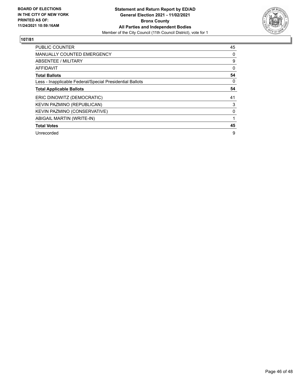

| <b>PUBLIC COUNTER</b>                                    | 45       |
|----------------------------------------------------------|----------|
| <b>MANUALLY COUNTED EMERGENCY</b>                        | 0        |
| ABSENTEE / MILITARY                                      | 9        |
| <b>AFFIDAVIT</b>                                         | 0        |
| <b>Total Ballots</b>                                     | 54       |
| Less - Inapplicable Federal/Special Presidential Ballots | $\Omega$ |
| <b>Total Applicable Ballots</b>                          | 54       |
| ERIC DINOWITZ (DEMOCRATIC)                               | 41       |
| KEVIN PAZMINO (REPUBLICAN)                               | 3        |
| KEVIN PAZMINO (CONSERVATIVE)                             | 0        |
| ABIGAIL MARTIN (WRITE-IN)                                |          |
| <b>Total Votes</b>                                       | 45       |
| Unrecorded                                               | 9        |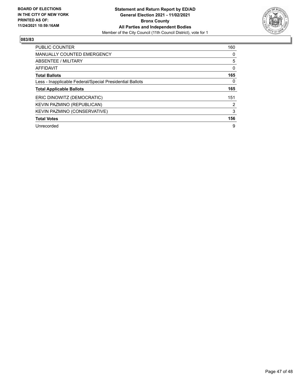

| <b>PUBLIC COUNTER</b>                                    | 160      |
|----------------------------------------------------------|----------|
| <b>MANUALLY COUNTED EMERGENCY</b>                        | 0        |
| ABSENTEE / MILITARY                                      | 5        |
| AFFIDAVIT                                                | $\Omega$ |
| <b>Total Ballots</b>                                     | 165      |
| Less - Inapplicable Federal/Special Presidential Ballots | 0        |
| <b>Total Applicable Ballots</b>                          | 165      |
| ERIC DINOWITZ (DEMOCRATIC)                               | 151      |
| KEVIN PAZMINO (REPUBLICAN)                               | 2        |
| KEVIN PAZMINO (CONSERVATIVE)                             | 3        |
| <b>Total Votes</b>                                       | 156      |
| Unrecorded                                               | 9        |